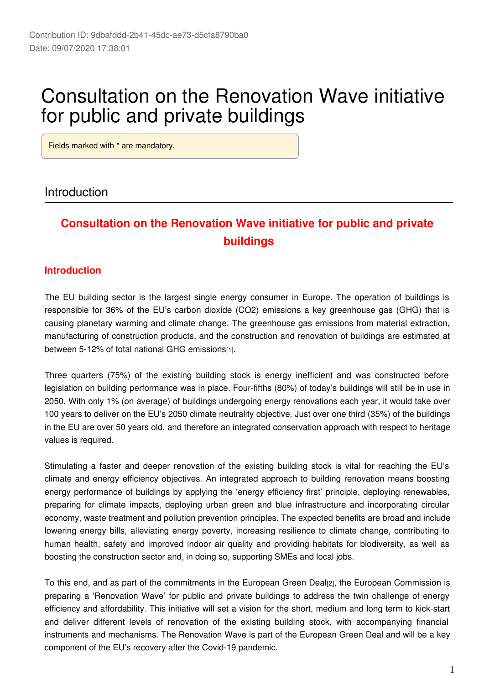# Consultation on the Renovation Wave initiative for public and private buildings

Fields marked with \* are mandatory.

#### Introduction

# **Consultation on the Renovation Wave initiative for public and private buildings**

#### **Introduction**

The EU building sector is the largest single energy consumer in Europe. The operation of buildings is responsible for 36% of the EU's carbon dioxide (CO2) emissions a key greenhouse gas (GHG) that is causing planetary warming and climate change. The greenhouse gas emissions from material extraction, manufacturing of construction products, and the construction and renovation of buildings are estimated at between 5-12% of total national GHG emissions[1].

Three quarters (75%) of the existing building stock is energy inefficient and was constructed before legislation on building performance was in place. Four-fifths (80%) of today's buildings will still be in use in 2050. With only 1% (on average) of buildings undergoing energy renovations each year, it would take over 100 years to deliver on the EU's 2050 climate neutrality objective. Just over one third (35%) of the buildings in the EU are over 50 years old, and therefore an integrated conservation approach with respect to heritage values is required.

Stimulating a faster and deeper renovation of the existing building stock is vital for reaching the EU's climate and energy efficiency objectives. An integrated approach to building renovation means boosting energy performance of buildings by applying the 'energy efficiency first' principle, deploying renewables, preparing for climate impacts, deploying urban green and blue infrastructure and incorporating circular economy, waste treatment and pollution prevention principles. The expected benefits are broad and include lowering energy bills, alleviating energy poverty, increasing resilience to climate change, contributing to human health, safety and improved indoor air quality and providing habitats for biodiversity, as well as boosting the construction sector and, in doing so, supporting SMEs and local jobs.

To this end, and as part of the commitments in the European Green Deal[2], the European Commission is preparing a 'Renovation Wave' for public and private buildings to address the twin challenge of energy efficiency and affordability. This initiative will set a vision for the short, medium and long term to kick-start and deliver different levels of renovation of the existing building stock, with accompanying financial instruments and mechanisms. The Renovation Wave is part of the European Green Deal and will be a key component of the EU's recovery after the Covid-19 pandemic.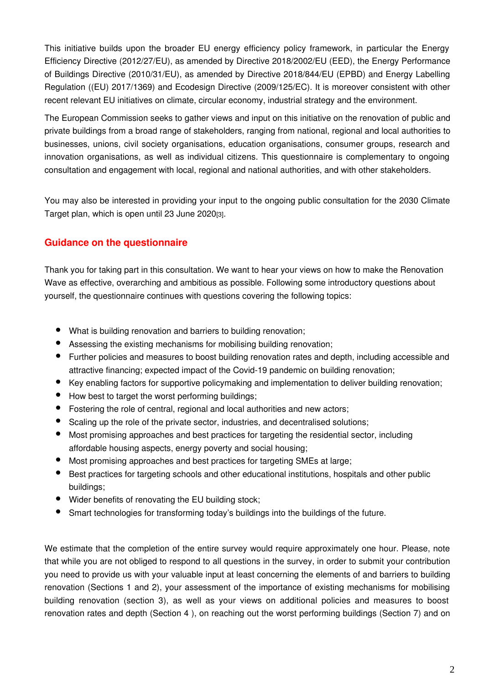This initiative builds upon the broader EU energy efficiency policy framework, in particular the Energy Efficiency Directive (2012/27/EU), as amended by Directive 2018/2002/EU (EED), the Energy Performance of Buildings Directive (2010/31/EU), as amended by Directive 2018/844/EU (EPBD) and Energy Labelling Regulation ((EU) 2017/1369) and Ecodesign Directive (2009/125/EC). It is moreover consistent with other recent relevant EU initiatives on climate, circular economy, industrial strategy and the environment.

The European Commission seeks to gather views and input on this initiative on the renovation of public and private buildings from a broad range of stakeholders, ranging from national, regional and local authorities to businesses, unions, civil society organisations, education organisations, consumer groups, research and innovation organisations, as well as individual citizens. This questionnaire is complementary to ongoing consultation and engagement with local, regional and national authorities, and with other stakeholders.

You may also be interested in providing your input to the ongoing public consultation for the 2030 Climate Target plan, which is open until 23 June 2020[3].

#### **Guidance on the questionnaire**

Thank you for taking part in this consultation. We want to hear your views on how to make the Renovation Wave as effective, overarching and ambitious as possible. Following some introductory questions about yourself, the questionnaire continues with questions covering the following topics:

- What is building renovation and barriers to building renovation;
- Assessing the existing mechanisms for mobilising building renovation;
- Further policies and measures to boost building renovation rates and depth, including accessible and attractive financing; expected impact of the Covid-19 pandemic on building renovation;
- Key enabling factors for supportive policymaking and implementation to deliver building renovation;
- How best to target the worst performing buildings;
- Fostering the role of central, regional and local authorities and new actors;
- Scaling up the role of the private sector, industries, and decentralised solutions;
- Most promising approaches and best practices for targeting the residential sector, including affordable housing aspects, energy poverty and social housing;
- Most promising approaches and best practices for targeting SMEs at large;
- $\bullet$ Best practices for targeting schools and other educational institutions, hospitals and other public buildings;
- Wider benefits of renovating the EU building stock;
- Smart technologies for transforming today's buildings into the buildings of the future.

We estimate that the completion of the entire survey would require approximately one hour. Please, note that while you are not obliged to respond to all questions in the survey, in order to submit your contribution you need to provide us with your valuable input at least concerning the elements of and barriers to building renovation (Sections 1 and 2), your assessment of the importance of existing mechanisms for mobilising building renovation (section 3), as well as your views on additional policies and measures to boost renovation rates and depth (Section 4 ), on reaching out the worst performing buildings (Section 7) and on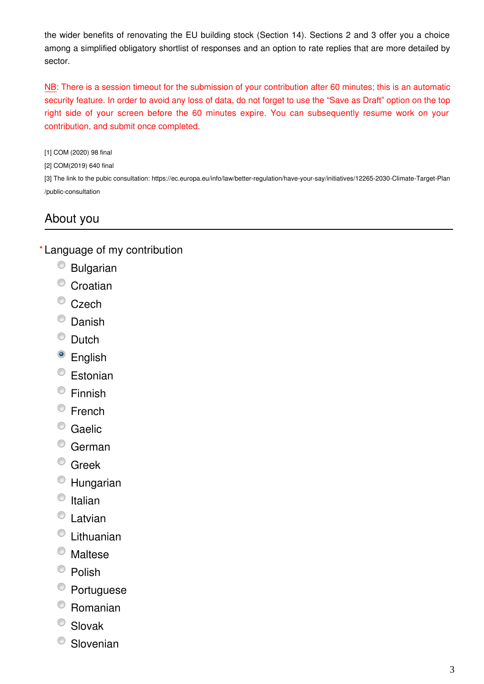the wider benefits of renovating the EU building stock (Section 14). Sections 2 and 3 offer you a choice among a simplified obligatory shortlist of responses and an option to rate replies that are more detailed by sector.

NB: There is a session timeout for the submission of your contribution after 60 minutes; this is an automatic security feature. In order to avoid any loss of data, do not forget to use the "Save as Draft" option on the top right side of your screen before the 60 minutes expire. You can subsequently resume work on your contribution, and submit once completed.

[1] COM (2020) 98 final

[2] COM(2019) 640 final

[3] The link to the pubic consultation: https://ec.europa.eu/info/law/better-regulation/have-your-say/initiatives/12265-2030-Climate-Target-Plan /public-consultation

# About you

Language of my contribution **\***

- Bulgarian
- <sup>O</sup> Croatian
- <sup>©</sup> Czech
- C Danish
- C Dutch
- <sup>o</sup> English
- Estonian
- Finnish
- <sup>©</sup> French
- <sup>©</sup> Gaelic
- German
- <sup>O</sup> Greek
- Hungarian
- $\circ$  Italian
- Latvian
- Lithuanian
- Maltese
- <sup>©</sup> Polish
- <sup>O</sup> Portuguese
- Romanian
- Slovak
- <sup>O</sup> Slovenian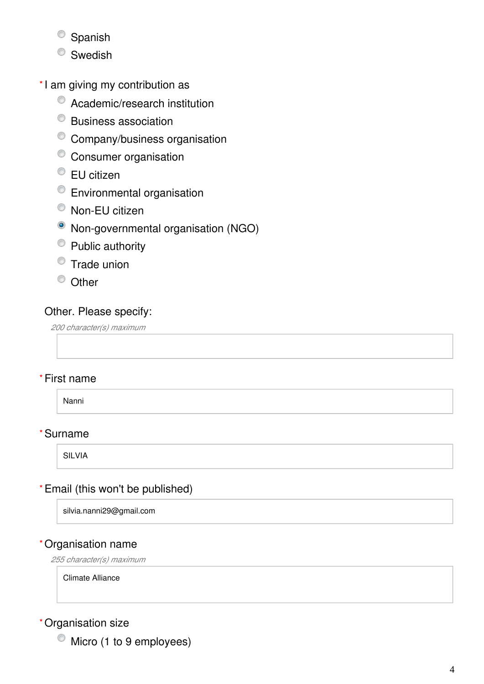- <sup>O</sup> Spanish
- <sup>O</sup> Swedish
- \*I am giving my contribution as
	- Academic/research institution
	- Business association
	- Company/business organisation
	- <sup>o</sup> Consumer organisation
	- EU citizen
	- Environmental organisation
	- Non-EU citizen
	- Non-governmental organisation (NGO)
	- Public authority
	- $\bullet$  Trade union
	- <sup>O</sup> Other

# Other. Please specify:

*200 character(s) maximum*

# First name **\***

Nanni

# Surname **\***

SILVIA

# Email (this won't be published) **\***

silvia.nanni29@gmail.com

# Organisation name **\***

*255 character(s) maximum*

Climate Alliance

### Organisation size **\***

 $\bullet$  Micro (1 to 9 employees)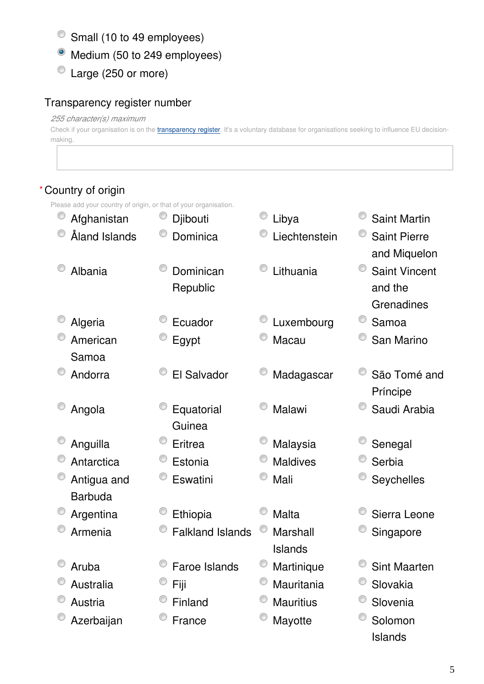- Small (10 to 49 employees)
- Medium (50 to 249 employees)
- Large (250 or more)

# Transparency register number

#### *255 character(s) maximum*

Check if your organisation is on the *[transparency register](http://ec.europa.eu/transparencyregister/public/homePage.do?redir=false&locale=en)*. It's a voluntary database for organisations seeking to influence EU decisionmaking.

# Country of origin **\***

Please add your country of origin, or that of your organisation.

| e auu your country or ongin, or that or your organisation. |                         |                  |                      |
|------------------------------------------------------------|-------------------------|------------------|----------------------|
| Afghanistan                                                | Djibouti                | Libya            | <b>Saint Martin</b>  |
| Åland Islands                                              | Dominica                | Liechtenstein    | <b>Saint Pierre</b>  |
|                                                            |                         |                  | and Miquelon         |
| Albania                                                    | Dominican               | Lithuania        | <b>Saint Vincent</b> |
|                                                            | Republic                |                  | and the              |
|                                                            |                         |                  | Grenadines           |
| Algeria                                                    | Ecuador                 | Luxembourg       | Samoa                |
| American                                                   | Egypt                   | Macau            | San Marino           |
| Samoa                                                      |                         |                  |                      |
| Andorra                                                    | El Salvador             | Madagascar       | São Tomé and         |
|                                                            |                         |                  | Príncipe             |
| Angola                                                     | Equatorial              | Malawi           | Saudi Arabia         |
|                                                            | Guinea                  |                  |                      |
| Anguilla                                                   | Eritrea                 | Malaysia         | Senegal              |
| Antarctica                                                 | Estonia                 | <b>Maldives</b>  | Serbia               |
| Antigua and                                                | Eswatini                | Mali             | <b>Seychelles</b>    |
| <b>Barbuda</b>                                             |                         |                  |                      |
| Argentina                                                  | Ethiopia                | <b>Malta</b>     | Sierra Leone         |
| Armenia                                                    | <b>Falkland Islands</b> | Marshall         | Singapore            |
|                                                            |                         | Islands          |                      |
| Aruba                                                      | <b>Faroe Islands</b>    | Martinique       | <b>Sint Maarten</b>  |
| Australia                                                  | Fiji                    | Mauritania       | Slovakia             |
| Austria                                                    | Finland                 | <b>Mauritius</b> | Slovenia             |
| Azerbaijan                                                 | France                  | Mayotte          | Solomon              |
|                                                            |                         |                  | <b>Islands</b>       |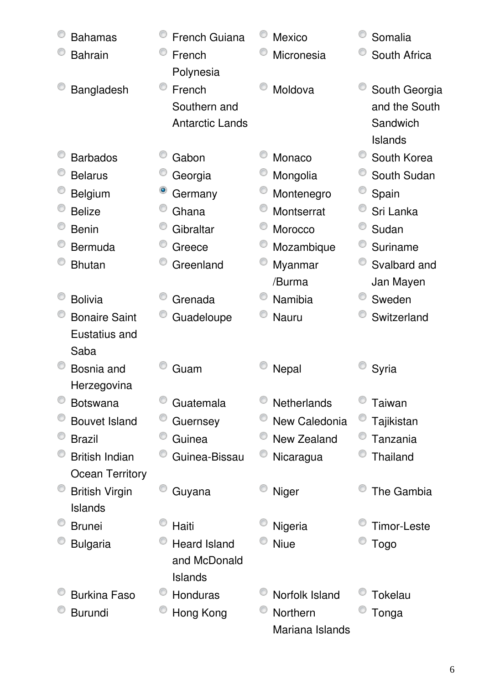| <b>Bahamas</b>         | <b>French Guiana</b>   | <b>Mexico</b>      | Somalia            |
|------------------------|------------------------|--------------------|--------------------|
| <b>Bahrain</b>         | French<br>Polynesia    | Micronesia         | South Africa       |
| Bangladesh             | French                 | Moldova            | South Georgia      |
|                        | Southern and           |                    | and the South      |
|                        | <b>Antarctic Lands</b> |                    | Sandwich           |
|                        |                        |                    | <b>Islands</b>     |
| <b>Barbados</b>        | Gabon                  | Monaco             | South Korea        |
| <b>Belarus</b>         | Georgia                | Mongolia           | South Sudan        |
| <b>Belgium</b>         | Germany                | Montenegro         | Spain              |
| <b>Belize</b>          | Ghana                  | Montserrat         | Sri Lanka          |
| <b>Benin</b>           | Gibraltar              | Morocco            | Sudan              |
| Bermuda                | Greece                 | Mozambique         | Suriname           |
| <b>Bhutan</b>          | Greenland              | Myanmar            | Svalbard and       |
|                        |                        | /Burma             | Jan Mayen          |
| <b>Bolivia</b>         | Grenada                | Namibia            | Sweden             |
| <b>Bonaire Saint</b>   | Guadeloupe             | <b>Nauru</b>       | Switzerland        |
| Eustatius and          |                        |                    |                    |
| Saba                   |                        |                    |                    |
| Bosnia and             | Guam                   | Nepal              | Syria              |
| Herzegovina            |                        |                    |                    |
| <b>Botswana</b>        | Guatemala              | <b>Netherlands</b> | Taiwan             |
| <b>Bouvet Island</b>   | Guernsey               | New Caledonia      | Tajikistan         |
| <b>Brazil</b>          | Guinea                 | <b>New Zealand</b> | Tanzania           |
| <b>British Indian</b>  | Guinea-Bissau          | Nicaragua          | Thailand           |
| <b>Ocean Territory</b> |                        |                    |                    |
| <b>British Virgin</b>  | Guyana                 | Niger              | The Gambia         |
| Islands                |                        |                    |                    |
| <b>Brunei</b>          | Haiti                  | Nigeria            | <b>Timor-Leste</b> |
| <b>Bulgaria</b>        | <b>Heard Island</b>    | <b>Niue</b>        | Togo               |
|                        | and McDonald           |                    |                    |
|                        | Islands                |                    |                    |
| <b>Burkina Faso</b>    | Honduras               | Norfolk Island     | <b>Tokelau</b>     |
| <b>Burundi</b>         | Hong Kong              | Northern           | Tonga              |
|                        |                        | Mariana Islands    |                    |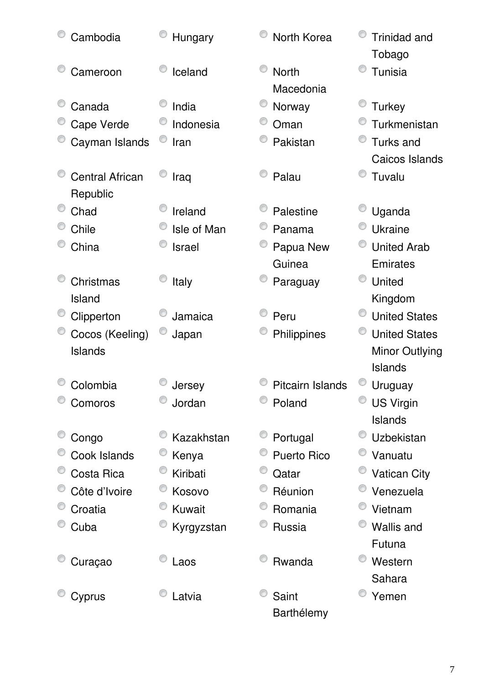| Cambodia                           | Hungary       | North Korea               | <b>Trinidad and</b><br>Tobago |
|------------------------------------|---------------|---------------------------|-------------------------------|
| Cameroon                           | Iceland       | <b>North</b><br>Macedonia | Tunisia                       |
| Canada                             | India         | Norway                    | <b>Turkey</b>                 |
| Cape Verde                         | Indonesia     | Oman                      | Turkmenistan                  |
| Cayman Islands                     | Iran          | Pakistan                  | <b>Turks and</b>              |
|                                    |               |                           | Caicos Islands                |
| <b>Central African</b><br>Republic | Iraq          | Palau                     | Tuvalu                        |
| Chad                               | Ireland       | Palestine                 | Uganda                        |
| Chile                              | Isle of Man   | Panama                    | <b>Ukraine</b>                |
| China                              | <b>Israel</b> | Papua New                 | <b>United Arab</b>            |
|                                    |               | Guinea                    | Emirates                      |
| Christmas                          | Italy         | Paraguay                  | United                        |
| Island                             |               |                           | Kingdom                       |
| Clipperton                         | Jamaica       | Peru                      | <b>United States</b>          |
| Cocos (Keeling)                    | Japan         | Philippines               | <b>United States</b>          |
| Islands                            |               |                           | Minor Outlying                |
|                                    |               |                           | <b>Islands</b>                |
| Colombia                           | Jersey        | Pitcairn Islands          | Uruguay                       |
| Comoros                            | Jordan        | Poland                    | <b>US Virgin</b>              |
|                                    |               |                           | <b>Islands</b>                |
| Congo                              | Kazakhstan    | Portugal                  | Uzbekistan                    |
| Cook Islands                       | Kenya         | <b>Puerto Rico</b>        | Vanuatu                       |
| Costa Rica                         | Kiribati      | Qatar                     | <b>Vatican City</b>           |
| Côte d'Ivoire                      | Kosovo        | Réunion                   | Venezuela                     |
| Croatia                            | Kuwait        | Romania                   | Vietnam                       |
| Cuba                               | Kyrgyzstan    | Russia                    | <b>Wallis and</b>             |
|                                    |               |                           | Futuna                        |
| Curaçao                            | Laos          | Rwanda                    | Western                       |
|                                    |               |                           | Sahara                        |
| Cyprus                             | Latvia        | Saint                     | Yemen                         |
|                                    |               | <b>Barthélemy</b>         |                               |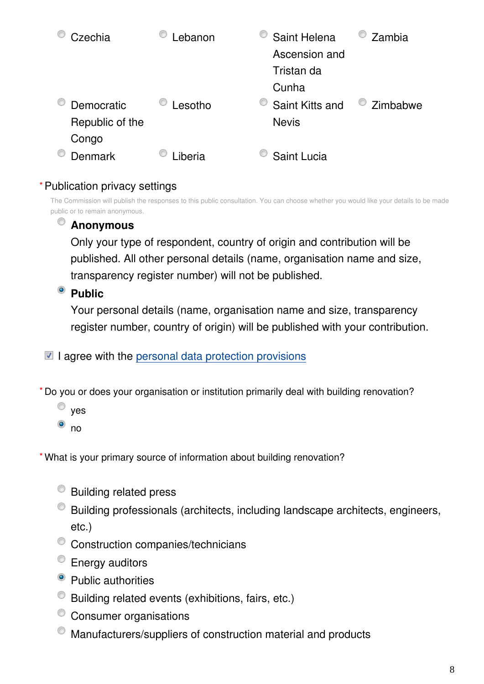| Czechia         | ebanon  | Saint Helena    | Zambia   |
|-----------------|---------|-----------------|----------|
|                 |         | Ascension and   |          |
|                 |         | Tristan da      |          |
|                 |         | Cunha           |          |
| Democratic      | _esotho | Saint Kitts and | Zimbabwe |
| Republic of the |         | <b>Nevis</b>    |          |
| Congo           |         |                 |          |
| Denmark         | .iberia | Saint Lucia     |          |

### Publication privacy settings **\***

The Commission will publish the responses to this public consultation. You can choose whether you would like your details to be made public or to remain anonymous.

# **Anonymous**

Only your type of respondent, country of origin and contribution will be published. All other personal details (name, organisation name and size, transparency register number) will not be published.

# <sup>o</sup> Public

Your personal details (name, organisation name and size, transparency register number, country of origin) will be published with your contribution.

 $\blacksquare$  I agree with the [personal data protection provisions](https://ec.europa.eu/info/law/better-regulation/specific-privacy-statement_en)

Do you or does your organisation or institution primarily deal with building renovation? **\***

- $\circ$  yes
- $\bullet$  no

What is your primary source of information about building renovation? **\***

- Building related press
- Building professionals (architects, including landscape architects, engineers, etc.)
- <sup>©</sup> Construction companies/technicians
- **Energy auditors**
- Public authorities
- Building related events (exhibitions, fairs, etc.)
- <sup>o</sup> Consumer organisations
- Manufacturers/suppliers of construction material and products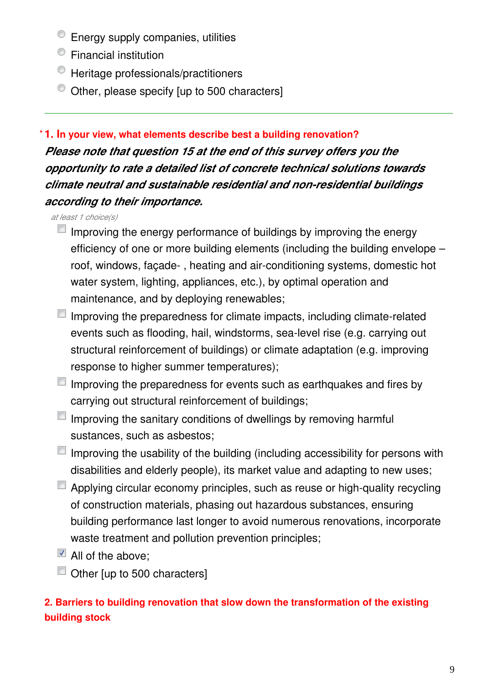- <sup>t</sup> Energy supply companies, utilities
- Financial institution
- $\bullet$  Heritage professionals/practitioners
- $\bullet$  Other, please specify [up to 500 characters]

#### **1. In your view, what elements describe best a building renovation? \***

*Please note that question 15 at the end of this survey offers you the opportunity to rate a detailed list of concrete technical solutions towards climate neutral and sustainable residential and non-residential buildings according to their importance.*

*at least 1 choice(s)*

- $\blacksquare$  Improving the energy performance of buildings by improving the energy efficiency of one or more building elements (including the building envelope – roof, windows, façade- , heating and air-conditioning systems, domestic hot water system, lighting, appliances, etc.), by optimal operation and maintenance, and by deploying renewables;
- $\blacksquare$  Improving the preparedness for climate impacts, including climate-related events such as flooding, hail, windstorms, sea-level rise (e.g. carrying out structural reinforcement of buildings) or climate adaptation (e.g. improving response to higher summer temperatures);
- $\blacksquare$  Improving the preparedness for events such as earthquakes and fires by carrying out structural reinforcement of buildings;
- $\Box$  Improving the sanitary conditions of dwellings by removing harmful sustances, such as asbestos;
- $\blacksquare$  Improving the usability of the building (including accessibility for persons with disabilities and elderly people), its market value and adapting to new uses;
- Applying circular economy principles, such as reuse or high-quality recycling of construction materials, phasing out hazardous substances, ensuring building performance last longer to avoid numerous renovations, incorporate waste treatment and pollution prevention principles;
- $\blacksquare$  All of the above:
- Other [up to 500 characters]

# **2. Barriers to building renovation that slow down the transformation of the existing building stock**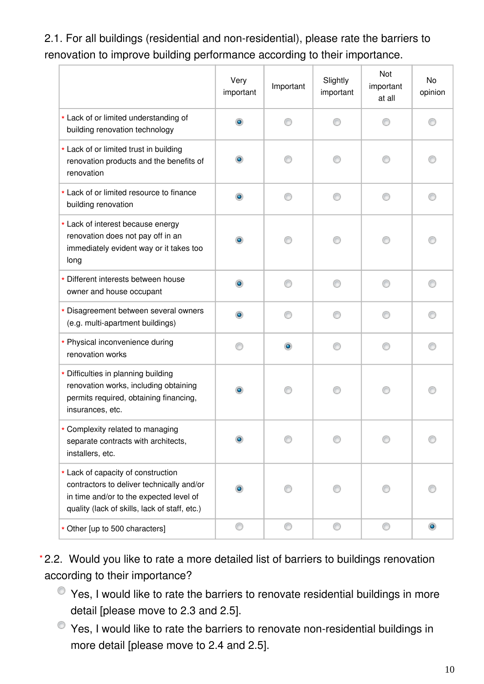2.1. For all buildings (residential and non-residential), please rate the barriers to renovation to improve building performance according to their importance.

|                                                                                                                                                                             | Very<br>important | Important | Slightly<br>important | Not<br>important<br>at all | No<br>opinion  |
|-----------------------------------------------------------------------------------------------------------------------------------------------------------------------------|-------------------|-----------|-----------------------|----------------------------|----------------|
| * Lack of or limited understanding of<br>building renovation technology                                                                                                     | ۵                 |           |                       |                            |                |
| * Lack of or limited trust in building<br>renovation products and the benefits of<br>renovation                                                                             | $\bullet$         |           |                       |                            |                |
| * Lack of or limited resource to finance<br>building renovation                                                                                                             | ۰                 | ∩         | ∩                     | ⊙                          |                |
| * Lack of interest because energy<br>renovation does not pay off in an<br>immediately evident way or it takes too<br>long                                                   | ۰                 |           |                       |                            |                |
| * Different interests between house<br>owner and house occupant                                                                                                             | $\bullet$         | ∩         | ⋒                     | ∩                          |                |
| * Disagreement between several owners<br>(e.g. multi-apartment buildings)                                                                                                   | ۰                 |           |                       |                            |                |
| * Physical inconvenience during<br>renovation works                                                                                                                         | ⊙                 | $\bullet$ | ⋒                     | ∩                          | ⋒              |
| * Difficulties in planning building<br>renovation works, including obtaining<br>permits required, obtaining financing,<br>insurances, etc.                                  | $\bullet$         |           |                       |                            |                |
| * Complexity related to managing<br>separate contracts with architects,<br>installers, etc.                                                                                 |                   |           |                       |                            |                |
| * Lack of capacity of construction<br>contractors to deliver technically and/or<br>in time and/or to the expected level of<br>quality (lack of skills, lack of staff, etc.) |                   |           |                       |                            |                |
| * Other [up to 500 characters]                                                                                                                                              | O                 | 0         | O                     | 0                          | $\circledcirc$ |

2.2. Would you like to rate a more detailed list of barriers to buildings renovation **\***according to their importance?

- $\bullet$  Yes, I would like to rate the barriers to renovate residential buildings in more detail [please move to 2.3 and 2.5].
- Yes, I would like to rate the barriers to renovate non-residential buildings in more detail [please move to 2.4 and 2.5].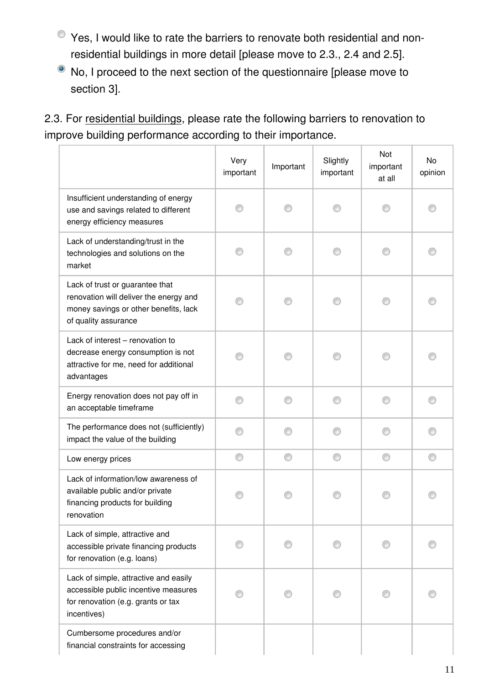- Yes, I would like to rate the barriers to renovate both residential and nonresidential buildings in more detail [please move to 2.3., 2.4 and 2.5].
- $\bullet$  No, I proceed to the next section of the questionnaire [please move to section 3].

2.3. For residential buildings, please rate the following barriers to renovation to improve building performance according to their importance.

|                                                                                                                                            | Very<br>important | Important | Slightly<br>important | Not<br>important<br>at all | No<br>opinion |
|--------------------------------------------------------------------------------------------------------------------------------------------|-------------------|-----------|-----------------------|----------------------------|---------------|
| Insufficient understanding of energy<br>use and savings related to different<br>energy efficiency measures                                 |                   |           |                       |                            |               |
| Lack of understanding/trust in the<br>technologies and solutions on the<br>market                                                          |                   |           |                       |                            |               |
| Lack of trust or guarantee that<br>renovation will deliver the energy and<br>money savings or other benefits, lack<br>of quality assurance |                   |           |                       |                            |               |
| Lack of interest - renovation to<br>decrease energy consumption is not<br>attractive for me, need for additional<br>advantages             |                   |           |                       |                            |               |
| Energy renovation does not pay off in<br>an acceptable timeframe                                                                           | ∩                 | ∩         | ∩                     | ⊙                          |               |
| The performance does not (sufficiently)<br>impact the value of the building                                                                |                   |           |                       |                            |               |
| Low energy prices                                                                                                                          | ⊙                 | ⊙         | ⊙                     | ⊙                          |               |
| Lack of information/low awareness of<br>available public and/or private<br>financing products for building<br>renovation                   |                   |           |                       |                            |               |
| Lack of simple, attractive and<br>accessible private financing products<br>for renovation (e.g. loans)                                     |                   |           |                       |                            |               |
| Lack of simple, attractive and easily<br>accessible public incentive measures<br>for renovation (e.g. grants or tax<br>incentives)         |                   |           |                       |                            |               |
| Cumbersome procedures and/or<br>financial constraints for accessing                                                                        |                   |           |                       |                            |               |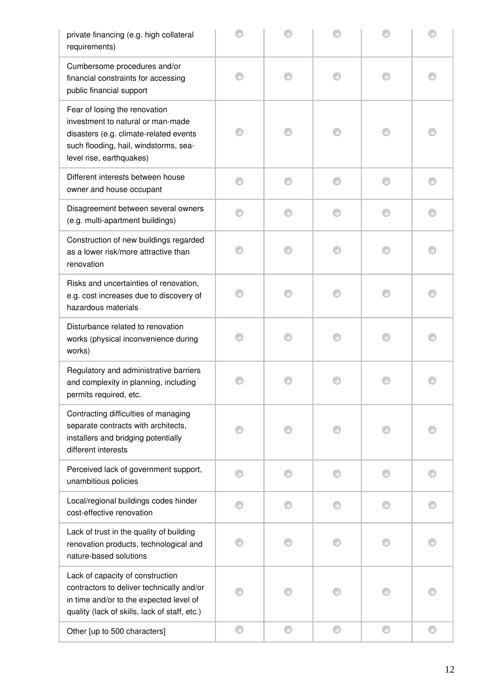| private financing (e.g. high collateral<br>requirements)                                                                                                                          |   |   |   |   |  |
|-----------------------------------------------------------------------------------------------------------------------------------------------------------------------------------|---|---|---|---|--|
| Cumbersome procedures and/or<br>financial constraints for accessing<br>public financial support                                                                                   |   |   |   |   |  |
| Fear of losing the renovation<br>investment to natural or man-made<br>disasters (e.g. climate-related events<br>such flooding, hail, windstorms, sea-<br>level rise, earthquakes) |   |   |   |   |  |
| Different interests between house<br>owner and house occupant                                                                                                                     |   |   |   |   |  |
| Disagreement between several owners<br>(e.g. multi-apartment buildings)                                                                                                           |   |   |   |   |  |
| Construction of new buildings regarded<br>as a lower risk/more attractive than<br>renovation                                                                                      |   |   |   |   |  |
| Risks and uncertainties of renovation,<br>e.g. cost increases due to discovery of<br>hazardous materials                                                                          |   |   |   |   |  |
| Disturbance related to renovation<br>works (physical inconvenience during<br>works)                                                                                               |   |   |   |   |  |
| Regulatory and administrative barriers<br>and complexity in planning, including<br>permits required, etc.                                                                         |   |   |   |   |  |
| Contracting difficulties of managing<br>separate contracts with architects,<br>installers and bridging potentially<br>different interests                                         |   |   |   |   |  |
| Perceived lack of government support,<br>unambitious policies                                                                                                                     |   |   | ∩ |   |  |
| Local/regional buildings codes hinder<br>cost-effective renovation                                                                                                                |   |   | € |   |  |
| Lack of trust in the quality of building<br>renovation products, technological and<br>nature-based solutions                                                                      |   |   |   |   |  |
| Lack of capacity of construction<br>contractors to deliver technically and/or<br>in time and/or to the expected level of<br>quality (lack of skills, lack of staff, etc.)         |   |   |   |   |  |
| Other [up to 500 characters]                                                                                                                                                      | ⊙ | ⊙ | ⊙ | ⊙ |  |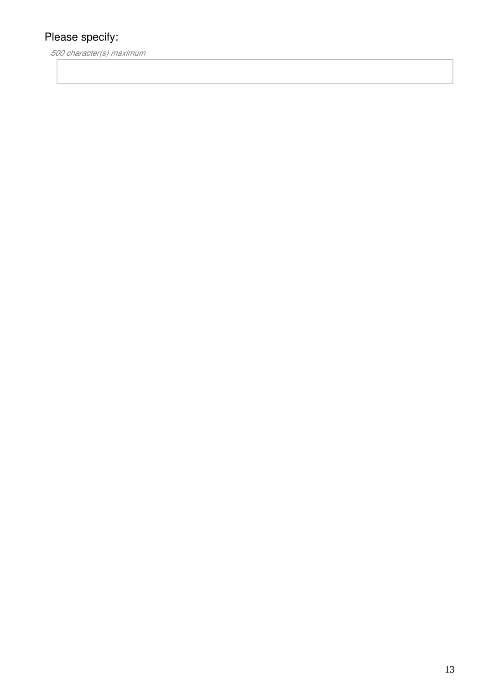*500 character(s) maximum*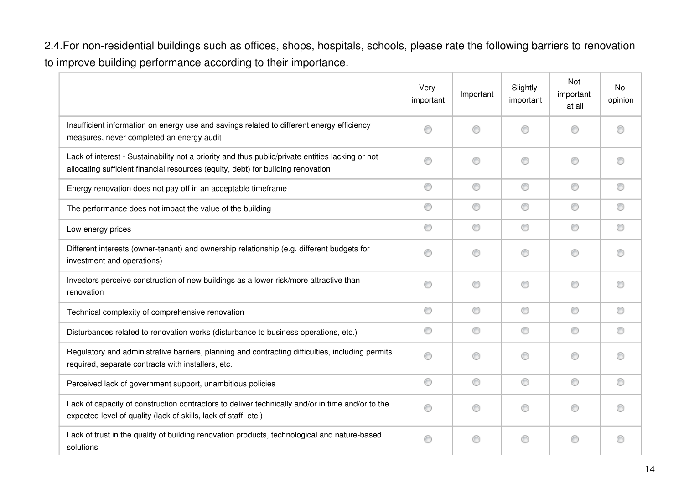2.4.For non-residential buildings such as offices, shops, hospitals, schools, please rate the following barriers to renovation to improve building performance according to their importance.

|                                                                                                                                                                                      | Very<br>important | Important | Slightly<br>important | Not<br>important<br>at all | <b>No</b><br>opinion |
|--------------------------------------------------------------------------------------------------------------------------------------------------------------------------------------|-------------------|-----------|-----------------------|----------------------------|----------------------|
| Insufficient information on energy use and savings related to different energy efficiency<br>measures, never completed an energy audit                                               | ∩                 | ⊙         | ∩                     | ⊙                          | ⋒                    |
| Lack of interest - Sustainability not a priority and thus public/private entities lacking or not<br>allocating sufficient financial resources (equity, debt) for building renovation | ∩                 | ⊙         | ⊙                     | ⊙                          | ∩                    |
| Energy renovation does not pay off in an acceptable timeframe                                                                                                                        | 0                 | 0         | ⊙                     | ⊙                          | ◉                    |
| The performance does not impact the value of the building                                                                                                                            | 0                 | ⊙         | ⊙                     | ⊙                          | ⊙                    |
| Low energy prices                                                                                                                                                                    | 0                 | 0         | ⊙                     | ⊙                          | ◉                    |
| Different interests (owner-tenant) and ownership relationship (e.g. different budgets for<br>investment and operations)                                                              | ⊙                 | ⊙         | ⊙                     | ∩                          | ⋒                    |
| Investors perceive construction of new buildings as a lower risk/more attractive than<br>renovation                                                                                  | ⊙                 | ⊙         | ⊙                     | ⊙                          | ⋒                    |
| Technical complexity of comprehensive renovation                                                                                                                                     | 0                 | ⊙         | ⊙                     | ◎                          | ⊙                    |
| Disturbances related to renovation works (disturbance to business operations, etc.)                                                                                                  | ⊙                 | 0         | ⊙                     | ◎                          | ⊙                    |
| Regulatory and administrative barriers, planning and contracting difficulties, including permits<br>required, separate contracts with installers, etc.                               | ⊙                 | ⊙         | ∩                     | ⊙                          | ⋒                    |
| Perceived lack of government support, unambitious policies                                                                                                                           | 0                 | 0         | ⊙                     | ⊙                          | ⊙                    |
| Lack of capacity of construction contractors to deliver technically and/or in time and/or to the<br>expected level of quality (lack of skills, lack of staff, etc.)                  | ⊙                 | ⊙         | ⊙                     | ⊙                          | ◎                    |
| Lack of trust in the quality of building renovation products, technological and nature-based<br>solutions                                                                            | ∩                 | ⊙         | ⊙                     | ∩                          | ⋒                    |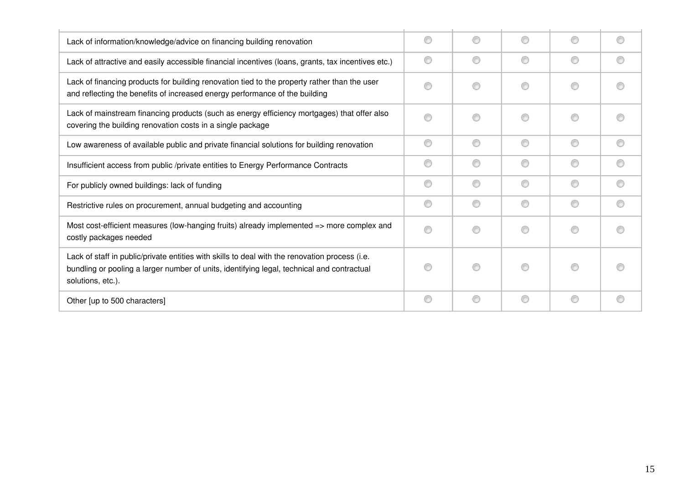| Lack of information/knowledge/advice on financing building renovation                                                                                                                                             | ∩ | ∩ | ⋒ | ⋒ |   |
|-------------------------------------------------------------------------------------------------------------------------------------------------------------------------------------------------------------------|---|---|---|---|---|
| Lack of attractive and easily accessible financial incentives (loans, grants, tax incentives etc.)                                                                                                                | ⊙ | ⊙ | ∩ | ⊙ |   |
| Lack of financing products for building renovation tied to the property rather than the user<br>and reflecting the benefits of increased energy performance of the building                                       |   | ∩ | ⋒ | ∩ |   |
| Lack of mainstream financing products (such as energy efficiency mortgages) that offer also<br>covering the building renovation costs in a single package                                                         |   | ∩ | ∩ | ∩ |   |
| Low awareness of available public and private financial solutions for building renovation                                                                                                                         | ⊙ | ⊙ | ⋒ | ⊙ | ∩ |
| Insufficient access from public /private entities to Energy Performance Contracts                                                                                                                                 | ⊙ | ⊙ | ⋒ | ∩ |   |
| For publicly owned buildings: lack of funding                                                                                                                                                                     | ⊙ | ⊙ | ⋒ | ⊙ |   |
| Restrictive rules on procurement, annual budgeting and accounting                                                                                                                                                 | 0 | ⊙ | € | ⊙ | ∩ |
| Most cost-efficient measures (low-hanging fruits) already implemented => more complex and<br>costly packages needed                                                                                               |   | ∩ | ⋒ | ⊙ |   |
| Lack of staff in public/private entities with skills to deal with the renovation process (i.e.<br>bundling or pooling a larger number of units, identifying legal, technical and contractual<br>solutions, etc.). |   | ∩ |   | ∩ |   |
| Other [up to 500 characters]                                                                                                                                                                                      | 0 | 0 | O | 0 | € |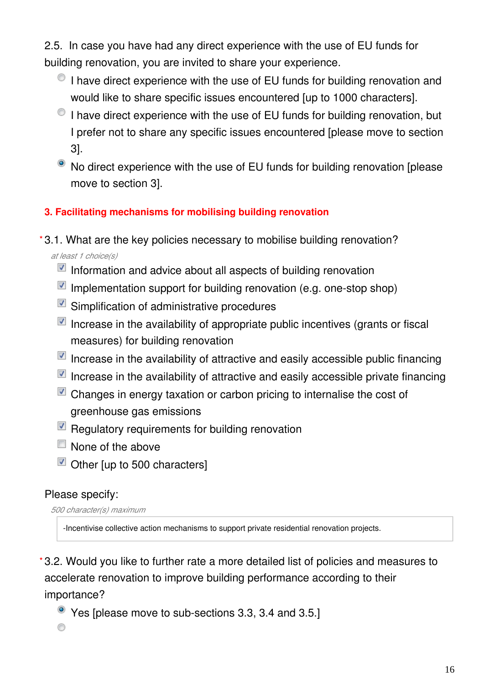2.5. In case you have had any direct experience with the use of EU funds for building renovation, you are invited to share your experience.

- I have direct experience with the use of EU funds for building renovation and would like to share specific issues encountered [up to 1000 characters].
- I have direct experience with the use of EU funds for building renovation, but I prefer not to share any specific issues encountered [please move to section 3].
- No direct experience with the use of EU funds for building renovation [please move to section 3].

### **3. Facilitating mechanisms for mobilising building renovation**

- 3.1. What are the key policies necessary to mobilise building renovation? **\*** *at least 1 choice(s)*
	- $\blacksquare$  Information and advice about all aspects of building renovation
	- $\blacksquare$  Implementation support for building renovation (e.g. one-stop shop)
	- Simplification of administrative procedures
	- Increase in the availability of appropriate public incentives (grants or fiscal measures) for building renovation
	- $\blacksquare$  Increase in the availability of attractive and easily accessible public financing
	- $\blacksquare$  Increase in the availability of attractive and easily accessible private financing
	- $\blacksquare$  Changes in energy taxation or carbon pricing to internalise the cost of greenhouse gas emissions
	- $\blacksquare$  Regulatory requirements for building renovation
	- $\Box$  None of the above
	- Other lup to 500 characters]

# Please specify:

*500 character(s) maximum*

-Incentivise collective action mechanisms to support private residential renovation projects.

3.2. Would you like to further rate a more detailed list of policies and measures to **\***accelerate renovation to improve building performance according to their importance?

Yes [please move to sub-sections 3.3, 3.4 and 3.5.]

⊙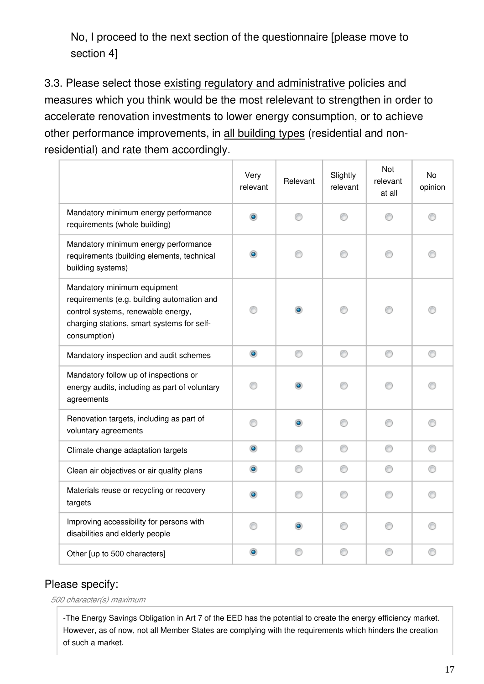No, I proceed to the next section of the questionnaire [please move to section 4]

3.3. Please select those existing regulatory and administrative policies and measures which you think would be the most relelevant to strengthen in order to accelerate renovation investments to lower energy consumption, or to achieve other performance improvements, in all building types (residential and nonresidential) and rate them accordingly.

|                                                                                                                                                                               | Very<br>relevant | Relevant  | Slightly<br>relevant | Not<br>relevant<br>at all | No<br>opinion |
|-------------------------------------------------------------------------------------------------------------------------------------------------------------------------------|------------------|-----------|----------------------|---------------------------|---------------|
| Mandatory minimum energy performance<br>requirements (whole building)                                                                                                         |                  |           | ⋒                    |                           |               |
| Mandatory minimum energy performance<br>requirements (building elements, technical<br>building systems)                                                                       |                  |           | ∩                    | m                         |               |
| Mandatory minimum equipment<br>requirements (e.g. building automation and<br>control systems, renewable energy,<br>charging stations, smart systems for self-<br>consumption) |                  | ۰         |                      |                           |               |
| Mandatory inspection and audit schemes                                                                                                                                        | $\bullet$        | 0         | 0                    | 0                         | 0             |
| Mandatory follow up of inspections or<br>energy audits, including as part of voluntary<br>agreements                                                                          | ⋒                | ۰         | ⋒                    | ∩                         |               |
| Renovation targets, including as part of<br>voluntary agreements                                                                                                              | ⋒                | $\bullet$ | ∩                    | ∩                         | ∩             |
| Climate change adaptation targets                                                                                                                                             | $\bullet$        | 0         | ⊙                    | 0                         | ⊙             |
| Clean air objectives or air quality plans                                                                                                                                     | $\circledcirc$   | ⊙         | ◎                    | ◎                         | ◎             |
| Materials reuse or recycling or recovery<br>targets                                                                                                                           |                  |           |                      |                           |               |
| Improving accessibility for persons with<br>disabilities and elderly people                                                                                                   |                  | $\bullet$ | ∩                    | ⋒                         |               |
| Other [up to 500 characters]                                                                                                                                                  | ۰                | ⊙         | ⊙                    | ⊙                         | O             |

### Please specify:

*500 character(s) maximum*

-The Energy Savings Obligation in Art 7 of the EED has the potential to create the energy efficiency market. However, as of now, not all Member States are complying with the requirements which hinders the creation of such a market.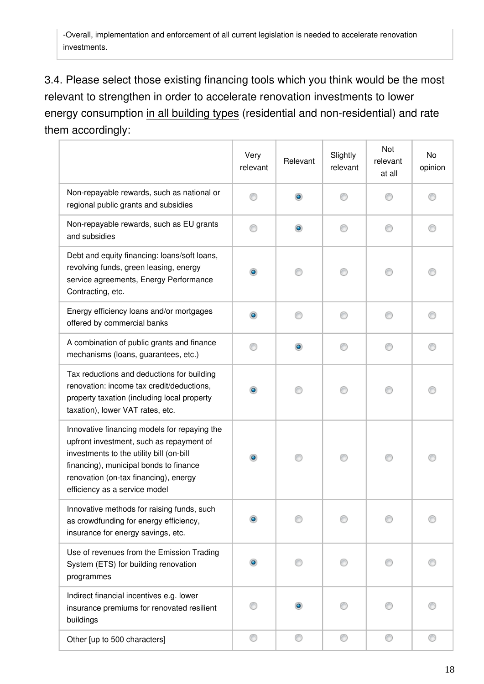-Overall, implementation and enforcement of all current legislation is needed to accelerate renovation investments.

3.4. Please select those existing financing tools which you think would be the most relevant to strengthen in order to accelerate renovation investments to lower energy consumption in all building types (residential and non-residential) and rate them accordingly:

|                                                                                                                                                                                                                                                          | Very<br>relevant | Relevant  | Slightly<br>relevant | Not<br>relevant<br>at all | No<br>opinion |
|----------------------------------------------------------------------------------------------------------------------------------------------------------------------------------------------------------------------------------------------------------|------------------|-----------|----------------------|---------------------------|---------------|
| Non-repayable rewards, such as national or<br>regional public grants and subsidies                                                                                                                                                                       | ∩                | ۰         | ⋒                    |                           |               |
| Non-repayable rewards, such as EU grants<br>and subsidies                                                                                                                                                                                                |                  | $\bullet$ | M                    |                           |               |
| Debt and equity financing: loans/soft loans,<br>revolving funds, green leasing, energy<br>service agreements, Energy Performance<br>Contracting, etc.                                                                                                    | $\bullet$        |           |                      |                           |               |
| Energy efficiency loans and/or mortgages<br>offered by commercial banks                                                                                                                                                                                  | $\bullet$        |           | ∩                    |                           |               |
| A combination of public grants and finance<br>mechanisms (loans, guarantees, etc.)                                                                                                                                                                       |                  | ۰         |                      |                           |               |
| Tax reductions and deductions for building<br>renovation: income tax credit/deductions,<br>property taxation (including local property<br>taxation), lower VAT rates, etc.                                                                               |                  |           |                      |                           |               |
| Innovative financing models for repaying the<br>upfront investment, such as repayment of<br>investments to the utility bill (on-bill<br>financing), municipal bonds to finance<br>renovation (on-tax financing), energy<br>efficiency as a service model | $\bullet$        |           |                      |                           |               |
| Innovative methods for raising funds, such<br>as crowdfunding for energy efficiency,<br>insurance for energy savings, etc.                                                                                                                               |                  |           |                      |                           |               |
| Use of revenues from the Emission Trading<br>System (ETS) for building renovation<br>programmes                                                                                                                                                          |                  |           |                      |                           |               |
| Indirect financial incentives e.g. lower<br>insurance premiums for renovated resilient<br>buildings                                                                                                                                                      |                  |           |                      |                           |               |
| Other [up to 500 characters]                                                                                                                                                                                                                             | ⊙                | 0         | ⊙                    | ⊙                         |               |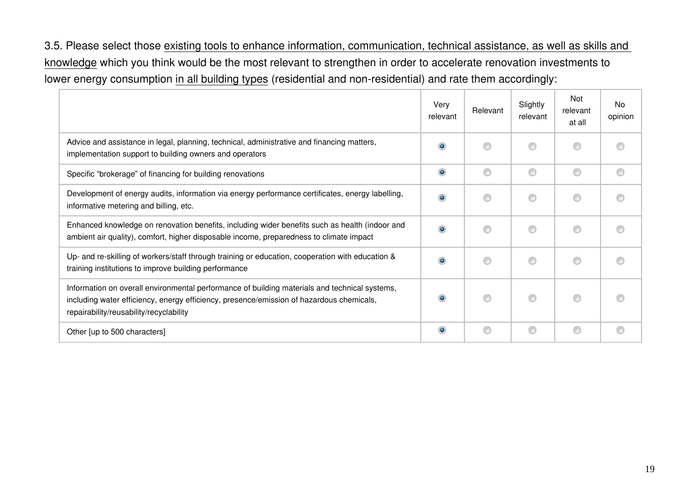3.5. Please select those existing tools to enhance information, communication, technical assistance, as well as skills and knowledge which you think would be the most relevant to strengthen in order to accelerate renovation investments to lower energy consumption in all building types (residential and non-residential) and rate them accordingly:

|                                                                                                                                                                                                                                      | Very<br>relevant | Relevant | Slightly<br>relevant | Not<br>relevant<br>at all | No<br>opinion |
|--------------------------------------------------------------------------------------------------------------------------------------------------------------------------------------------------------------------------------------|------------------|----------|----------------------|---------------------------|---------------|
| Advice and assistance in legal, planning, technical, administrative and financing matters,<br>implementation support to building owners and operators                                                                                | $\bullet$        | ⋒        |                      | €                         |               |
| Specific "brokerage" of financing for building renovations                                                                                                                                                                           | ۱                | ∩        | ∩                    | ⊙                         |               |
| Development of energy audits, information via energy performance certificates, energy labelling,<br>informative metering and billing, etc.                                                                                           | $\bullet$        | €        | ⊙                    | ◎                         |               |
| Enhanced knowledge on renovation benefits, including wider benefits such as health (indoor and<br>ambient air quality), comfort, higher disposable income, preparedness to climate impact                                            | ۵                | ⋒        | ⋒                    | ⊙                         |               |
| Up- and re-skilling of workers/staff through training or education, cooperation with education &<br>training institutions to improve building performance                                                                            | $\bullet$        | ∩        | ∩                    | ⊙                         |               |
| Information on overall environmental performance of building materials and technical systems,<br>including water efficiency, energy efficiency, presence/emission of hazardous chemicals,<br>repairability/reusability/recyclability | $\bullet$        | ⋒        | ⊙                    | ⊙                         |               |
| Other [up to 500 characters]                                                                                                                                                                                                         | ۵                | ∩        | ∩                    | ⊙                         |               |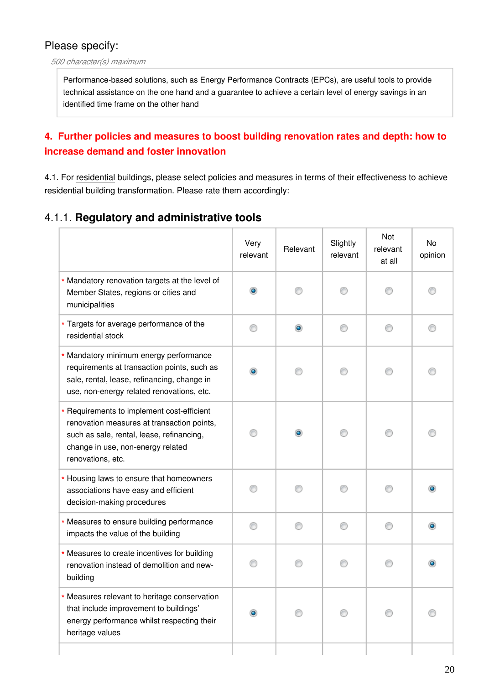#### *500 character(s) maximum*

Performance-based solutions, such as Energy Performance Contracts (EPCs), are useful tools to provide technical assistance on the one hand and a guarantee to achieve a certain level of energy savings in an identified time frame on the other hand

### **4. Further policies and measures to boost building renovation rates and depth: how to increase demand and foster innovation**

4.1. For residential buildings, please select policies and measures in terms of their effectiveness to achieve residential building transformation. Please rate them accordingly:

### 4.1.1. **Regulatory and administrative tools**

|                                                                                                                                                                                                 | Very<br>relevant | Relevant  | Slightly<br>relevant | Not<br>relevant<br>at all | No<br>opinion |
|-------------------------------------------------------------------------------------------------------------------------------------------------------------------------------------------------|------------------|-----------|----------------------|---------------------------|---------------|
| * Mandatory renovation targets at the level of<br>Member States, regions or cities and<br>municipalities                                                                                        | $\bullet$        | 0         | ∩                    |                           |               |
| * Targets for average performance of the<br>residential stock                                                                                                                                   |                  | $\bullet$ | O                    |                           |               |
| * Mandatory minimum energy performance<br>requirements at transaction points, such as<br>sale, rental, lease, refinancing, change in<br>use, non-energy related renovations, etc.               |                  |           | ⊙                    |                           |               |
| * Requirements to implement cost-efficient<br>renovation measures at transaction points,<br>such as sale, rental, lease, refinancing,<br>change in use, non-energy related<br>renovations, etc. |                  | $\bullet$ |                      |                           |               |
| * Housing laws to ensure that homeowners<br>associations have easy and efficient<br>decision-making procedures                                                                                  |                  |           | 60                   |                           |               |
| * Measures to ensure building performance<br>impacts the value of the building                                                                                                                  |                  |           | ∩                    |                           | $\bullet$     |
| * Measures to create incentives for building<br>renovation instead of demolition and new-<br>building                                                                                           |                  |           | ∩                    |                           |               |
| * Measures relevant to heritage conservation<br>that include improvement to buildings'<br>energy performance whilst respecting their<br>heritage values                                         |                  |           |                      |                           |               |
|                                                                                                                                                                                                 |                  |           |                      |                           |               |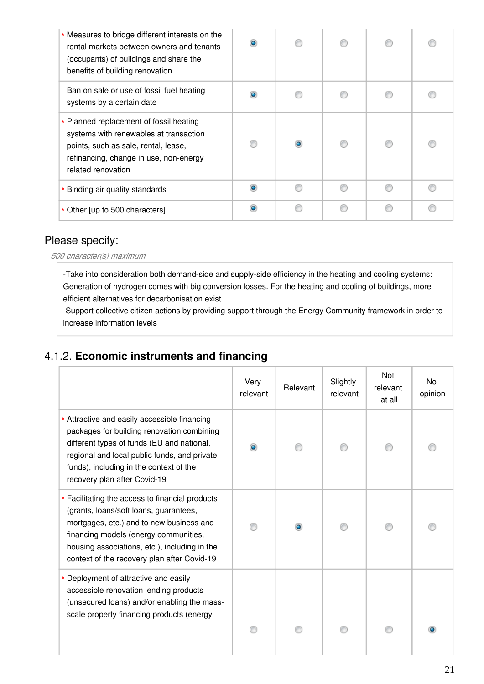| * Measures to bridge different interests on the<br>rental markets between owners and tenants<br>(occupants) of buildings and share the<br>benefits of building renovation                 |  |  |  |
|-------------------------------------------------------------------------------------------------------------------------------------------------------------------------------------------|--|--|--|
| Ban on sale or use of fossil fuel heating<br>systems by a certain date                                                                                                                    |  |  |  |
| * Planned replacement of fossil heating<br>systems with renewables at transaction<br>points, such as sale, rental, lease,<br>refinancing, change in use, non-energy<br>related renovation |  |  |  |
| * Binding air quality standards                                                                                                                                                           |  |  |  |
| * Other [up to 500 characters]                                                                                                                                                            |  |  |  |

*500 character(s) maximum*

-Take into consideration both demand-side and supply-side efficiency in the heating and cooling systems: Generation of hydrogen comes with big conversion losses. For the heating and cooling of buildings, more efficient alternatives for decarbonisation exist.

-Support collective citizen actions by providing support through the Energy Community framework in order to increase information levels

# 4.1.2. **Economic instruments and financing**

|                                                                                                                                                                                                                                                                                | Very<br>relevant | Relevant | Slightly<br>relevant | Not<br>relevant<br>at all | No<br>opinion |
|--------------------------------------------------------------------------------------------------------------------------------------------------------------------------------------------------------------------------------------------------------------------------------|------------------|----------|----------------------|---------------------------|---------------|
| * Attractive and easily accessible financing<br>packages for building renovation combining<br>different types of funds (EU and national,<br>regional and local public funds, and private<br>funds), including in the context of the<br>recovery plan after Covid-19            | ۰                |          |                      |                           |               |
| * Facilitating the access to financial products<br>(grants, loans/soft loans, guarantees,<br>mortgages, etc.) and to new business and<br>financing models (energy communities,<br>housing associations, etc.), including in the<br>context of the recovery plan after Covid-19 |                  |          |                      |                           |               |
| * Deployment of attractive and easily<br>accessible renovation lending products<br>(unsecured loans) and/or enabling the mass-<br>scale property financing products (energy                                                                                                    |                  |          |                      |                           |               |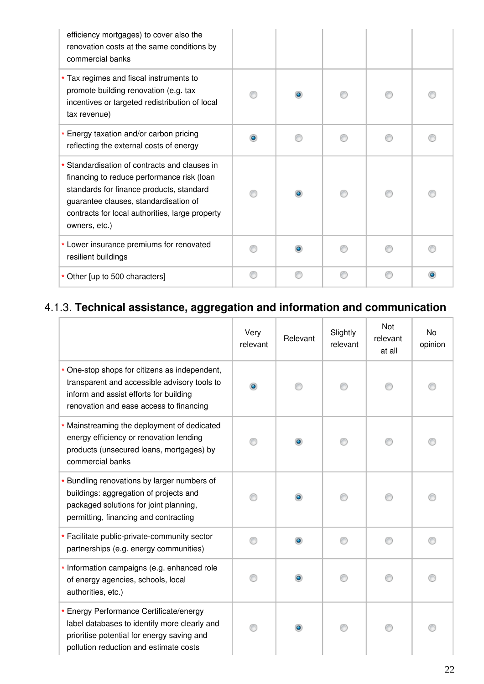| efficiency mortgages) to cover also the<br>renovation costs at the same conditions by<br>commercial banks                                                                                                                                            |  |   |           |
|------------------------------------------------------------------------------------------------------------------------------------------------------------------------------------------------------------------------------------------------------|--|---|-----------|
| * Tax regimes and fiscal instruments to<br>promote building renovation (e.g. tax<br>incentives or targeted redistribution of local<br>tax revenue)                                                                                                   |  |   |           |
| * Energy taxation and/or carbon pricing<br>reflecting the external costs of energy                                                                                                                                                                   |  |   |           |
| * Standardisation of contracts and clauses in<br>financing to reduce performance risk (loan<br>standards for finance products, standard<br>guarantee clauses, standardisation of<br>contracts for local authorities, large property<br>owners, etc.) |  |   |           |
| * Lower insurance premiums for renovated<br>resilient buildings                                                                                                                                                                                      |  |   |           |
| * Other [up to 500 characters]                                                                                                                                                                                                                       |  | ⋒ | $\bullet$ |

# 4.1.3. **Technical assistance, aggregation and information and communication**

|                                                                                                                                                                                    | Very<br>relevant | Relevant  | Slightly<br>relevant | Not<br>relevant<br>at all | No<br>opinion |
|------------------------------------------------------------------------------------------------------------------------------------------------------------------------------------|------------------|-----------|----------------------|---------------------------|---------------|
| * One-stop shops for citizens as independent,<br>transparent and accessible advisory tools to<br>inform and assist efforts for building<br>renovation and ease access to financing | $\bullet$        |           |                      |                           |               |
| * Mainstreaming the deployment of dedicated<br>energy efficiency or renovation lending<br>products (unsecured loans, mortgages) by<br>commercial banks                             |                  | ۰         |                      |                           |               |
| * Bundling renovations by larger numbers of<br>buildings: aggregation of projects and<br>packaged solutions for joint planning,<br>permitting, financing and contracting           |                  | $\bullet$ |                      |                           |               |
| * Facilitate public-private-community sector<br>partnerships (e.g. energy communities)                                                                                             |                  | $\bullet$ |                      |                           |               |
| * Information campaigns (e.g. enhanced role<br>of energy agencies, schools, local<br>authorities, etc.)                                                                            |                  | $\bullet$ |                      |                           |               |
| * Energy Performance Certificate/energy<br>label databases to identify more clearly and<br>prioritise potential for energy saving and<br>pollution reduction and estimate costs    |                  | $\bullet$ |                      |                           |               |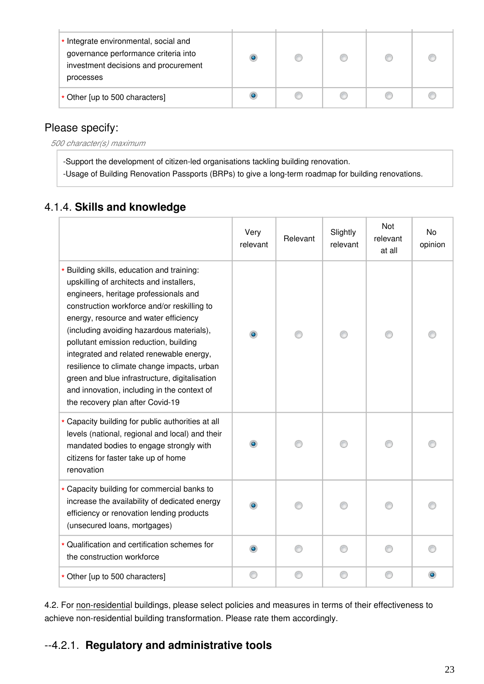| * Integrate environmental, social and<br>governance performance criteria into<br>investment decisions and procurement<br>processes |  |  |  |
|------------------------------------------------------------------------------------------------------------------------------------|--|--|--|
| * Other [up to 500 characters]                                                                                                     |  |  |  |

*500 character(s) maximum*

-Support the development of citizen-led organisations tackling building renovation. -Usage of Building Renovation Passports (BRPs) to give a long-term roadmap for building renovations.

# 4.1.4. **Skills and knowledge**

|                                                                                                                                                                                                                                                                                                                                                                                                                                                                                                                                               | Very<br>relevant | Relevant | Slightly<br>relevant | Not<br>relevant<br>at all | <b>No</b><br>opinion |
|-----------------------------------------------------------------------------------------------------------------------------------------------------------------------------------------------------------------------------------------------------------------------------------------------------------------------------------------------------------------------------------------------------------------------------------------------------------------------------------------------------------------------------------------------|------------------|----------|----------------------|---------------------------|----------------------|
| * Building skills, education and training:<br>upskilling of architects and installers,<br>engineers, heritage professionals and<br>construction workforce and/or reskilling to<br>energy, resource and water efficiency<br>(including avoiding hazardous materials),<br>pollutant emission reduction, building<br>integrated and related renewable energy,<br>resilience to climate change impacts, urban<br>green and blue infrastructure, digitalisation<br>and innovation, including in the context of<br>the recovery plan after Covid-19 |                  |          |                      |                           |                      |
| * Capacity building for public authorities at all<br>levels (national, regional and local) and their<br>mandated bodies to engage strongly with<br>citizens for faster take up of home<br>renovation                                                                                                                                                                                                                                                                                                                                          |                  |          |                      |                           |                      |
| * Capacity building for commercial banks to<br>increase the availability of dedicated energy<br>efficiency or renovation lending products<br>(unsecured loans, mortgages)                                                                                                                                                                                                                                                                                                                                                                     |                  |          |                      |                           |                      |
| * Qualification and certification schemes for<br>the construction workforce                                                                                                                                                                                                                                                                                                                                                                                                                                                                   | ۰                |          |                      |                           |                      |
| * Other [up to 500 characters]                                                                                                                                                                                                                                                                                                                                                                                                                                                                                                                |                  |          |                      |                           |                      |

4.2. For non-residential buildings, please select policies and measures in terms of their effectiveness to achieve non-residential building transformation. Please rate them accordingly.

# 4.2.1. **Regulatory and administrative tools**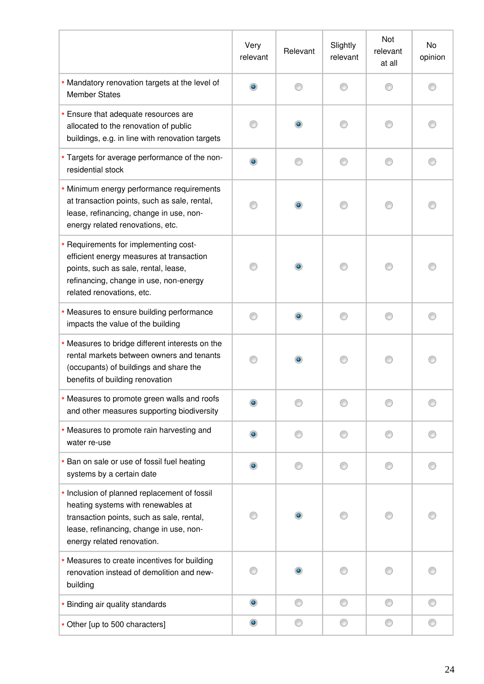|                                                                                                                                                                                                          | Very<br>relevant | Relevant  | Slightly<br>relevant | Not<br>relevant<br>at all | No<br>opinion |
|----------------------------------------------------------------------------------------------------------------------------------------------------------------------------------------------------------|------------------|-----------|----------------------|---------------------------|---------------|
| * Mandatory renovation targets at the level of<br><b>Member States</b>                                                                                                                                   | ۰                | ⊙         |                      |                           |               |
| * Ensure that adequate resources are<br>allocated to the renovation of public<br>buildings, e.g. in line with renovation targets                                                                         |                  | $\bullet$ |                      |                           |               |
| * Targets for average performance of the non-<br>residential stock                                                                                                                                       | ۰                | ∩         | ⊙                    |                           |               |
| * Minimum energy performance requirements<br>at transaction points, such as sale, rental,<br>lease, refinancing, change in use, non-<br>energy related renovations, etc.                                 |                  | $\bullet$ |                      |                           |               |
| * Requirements for implementing cost-<br>efficient energy measures at transaction<br>points, such as sale, rental, lease,<br>refinancing, change in use, non-energy<br>related renovations, etc.         |                  | $\bullet$ |                      |                           |               |
| * Measures to ensure building performance<br>impacts the value of the building                                                                                                                           |                  | $\bullet$ | ∩                    | ⋒                         |               |
| * Measures to bridge different interests on the<br>rental markets between owners and tenants<br>(occupants) of buildings and share the<br>benefits of building renovation                                |                  | ۰         |                      |                           |               |
| * Measures to promote green walls and roofs<br>and other measures supporting biodiversity                                                                                                                |                  |           |                      |                           |               |
| * Measures to promote rain harvesting and<br>water re-use                                                                                                                                                |                  |           |                      |                           |               |
| * Ban on sale or use of fossil fuel heating<br>systems by a certain date                                                                                                                                 | $\bullet$        |           |                      |                           |               |
| * Inclusion of planned replacement of fossil<br>heating systems with renewables at<br>transaction points, such as sale, rental,<br>lease, refinancing, change in use, non-<br>energy related renovation. |                  | $\bullet$ |                      |                           |               |
| * Measures to create incentives for building<br>renovation instead of demolition and new-<br>building                                                                                                    |                  | $\bullet$ |                      |                           |               |
| * Binding air quality standards                                                                                                                                                                          | $\bullet$        | ⊙         | ⊙                    | ⊙                         |               |
| * Other [up to 500 characters]                                                                                                                                                                           | $\bullet$        | ⊙         | 0                    | 0                         |               |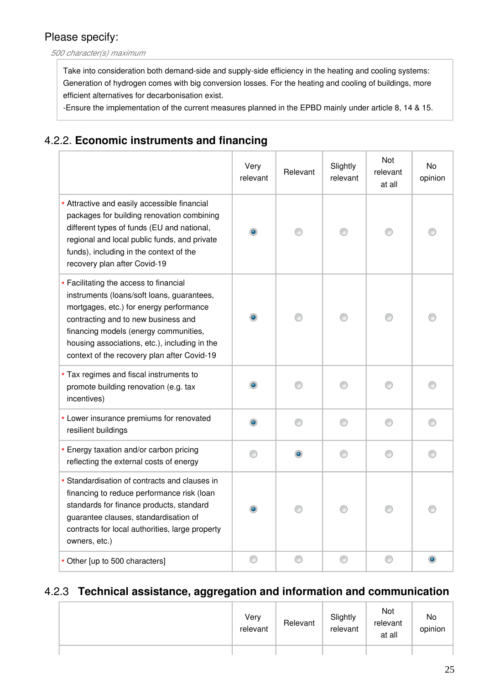*500 character(s) maximum*

Take into consideration both demand-side and supply-side efficiency in the heating and cooling systems: Generation of hydrogen comes with big conversion losses. For the heating and cooling of buildings, more efficient alternatives for decarbonisation exist.

-Ensure the implementation of the current measures planned in the EPBD mainly under article 8, 14 & 15.

## 4.2.2. **Economic instruments and financing**

|                                                                                                                                                                                                                                                                                                                 | Very<br>relevant | Relevant | Slightly<br>relevant | Not<br>relevant<br>at all | No<br>opinion |
|-----------------------------------------------------------------------------------------------------------------------------------------------------------------------------------------------------------------------------------------------------------------------------------------------------------------|------------------|----------|----------------------|---------------------------|---------------|
| * Attractive and easily accessible financial<br>packages for building renovation combining<br>different types of funds (EU and national,<br>regional and local public funds, and private<br>funds), including in the context of the<br>recovery plan after Covid-19                                             |                  |          |                      |                           |               |
| * Facilitating the access to financial<br>instruments (loans/soft loans, guarantees,<br>mortgages, etc.) for energy performance<br>contracting and to new business and<br>financing models (energy communities,<br>housing associations, etc.), including in the<br>context of the recovery plan after Covid-19 |                  |          |                      |                           |               |
| * Tax regimes and fiscal instruments to<br>promote building renovation (e.g. tax<br>incentives)                                                                                                                                                                                                                 | $\bullet$        | ⋒        | ∩                    | ⋒                         |               |
| * Lower insurance premiums for renovated<br>resilient buildings                                                                                                                                                                                                                                                 | $\bullet$        | ∩        | ∩                    | ∩                         |               |
| * Energy taxation and/or carbon pricing<br>reflecting the external costs of energy                                                                                                                                                                                                                              |                  |          |                      |                           |               |
| * Standardisation of contracts and clauses in<br>financing to reduce performance risk (loan<br>standards for finance products, standard<br>guarantee clauses, standardisation of<br>contracts for local authorities, large property<br>owners, etc.)                                                            |                  |          |                      |                           |               |
| * Other [up to 500 characters]                                                                                                                                                                                                                                                                                  |                  | ∩        | ⋒                    | ⋒                         |               |

### 4.2.3 **Technical assistance, aggregation and information and communication**

| Very | relevant | Relevant | Slightly<br>relevant | Not<br>relevant<br>at all | No<br>opinion |
|------|----------|----------|----------------------|---------------------------|---------------|
|      |          |          |                      |                           |               |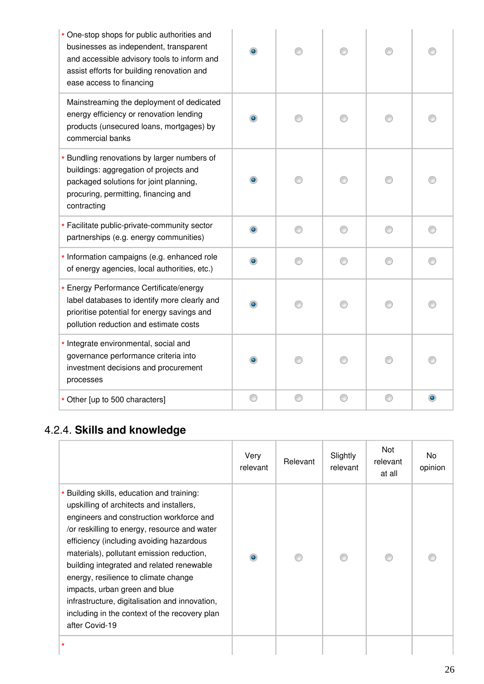| * One-stop shops for public authorities and<br>businesses as independent, transparent<br>and accessible advisory tools to inform and<br>assist efforts for building renovation and<br>ease access to financing | ۰         |   |   |   |  |
|----------------------------------------------------------------------------------------------------------------------------------------------------------------------------------------------------------------|-----------|---|---|---|--|
| Mainstreaming the deployment of dedicated<br>energy efficiency or renovation lending<br>products (unsecured loans, mortgages) by<br>commercial banks                                                           | $\bullet$ |   |   |   |  |
| * Bundling renovations by larger numbers of<br>buildings: aggregation of projects and<br>packaged solutions for joint planning,<br>procuring, permitting, financing and<br>contracting                         | $\bullet$ |   |   |   |  |
| * Facilitate public-private-community sector<br>partnerships (e.g. energy communities)                                                                                                                         |           |   |   |   |  |
| * Information campaigns (e.g. enhanced role<br>of energy agencies, local authorities, etc.)                                                                                                                    | ۰         | ∩ | ∩ |   |  |
| * Energy Performance Certificate/energy<br>label databases to identify more clearly and<br>prioritise potential for energy savings and<br>pollution reduction and estimate costs                               |           |   |   |   |  |
| * Integrate environmental, social and<br>governance performance criteria into<br>investment decisions and procurement<br>processes                                                                             | $\bullet$ |   |   |   |  |
| * Other [up to 500 characters]                                                                                                                                                                                 |           | ⊙ | a | C |  |

# 4.2.4. **Skills and knowledge**

|                                                                                                                                                                                                                                                                                                                                                                                                                                                                                                                        | Very<br>relevant | Relevant | Slightly<br>relevant | Not<br>relevant<br>at all | No.<br>opinion |
|------------------------------------------------------------------------------------------------------------------------------------------------------------------------------------------------------------------------------------------------------------------------------------------------------------------------------------------------------------------------------------------------------------------------------------------------------------------------------------------------------------------------|------------------|----------|----------------------|---------------------------|----------------|
| * Building skills, education and training:<br>upskilling of architects and installers,<br>engineers and construction workforce and<br>/or reskilling to energy, resource and water<br>efficiency (including avoiding hazardous<br>materials), pollutant emission reduction,<br>building integrated and related renewable<br>energy, resilience to climate change<br>impacts, urban green and blue<br>infrastructure, digitalisation and innovation,<br>including in the context of the recovery plan<br>after Covid-19 |                  |          |                      |                           |                |
| *                                                                                                                                                                                                                                                                                                                                                                                                                                                                                                                      |                  |          |                      |                           |                |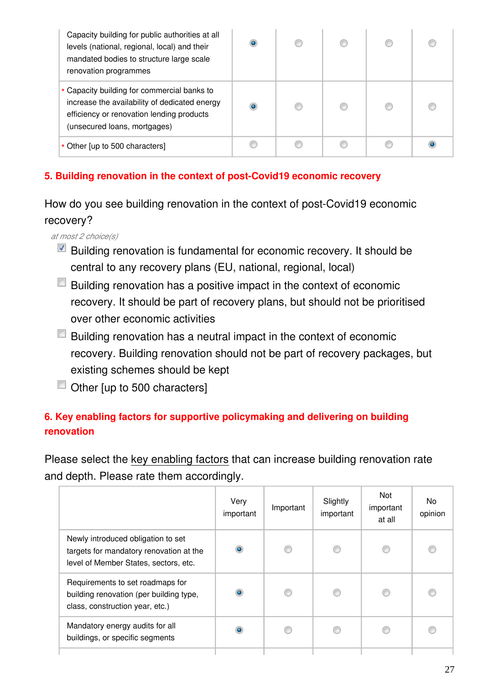| Capacity building for public authorities at all<br>levels (national, regional, local) and their<br>mandated bodies to structure large scale<br>renovation programmes      | o         |  |   |
|---------------------------------------------------------------------------------------------------------------------------------------------------------------------------|-----------|--|---|
| * Capacity building for commercial banks to<br>increase the availability of dedicated energy<br>efficiency or renovation lending products<br>(unsecured loans, mortgages) | $\bullet$ |  | O |
| * Other [up to 500 characters]                                                                                                                                            |           |  |   |

### **5. Building renovation in the context of post-Covid19 economic recovery**

How do you see building renovation in the context of post-Covid19 economic recovery?

*at most 2 choice(s)*

- Building renovation is fundamental for economic recovery. It should be central to any recovery plans (EU, national, regional, local)
- Building renovation has a positive impact in the context of economic recovery. It should be part of recovery plans, but should not be prioritised over other economic activities
- $\Box$  Building renovation has a neutral impact in the context of economic recovery. Building renovation should not be part of recovery packages, but existing schemes should be kept
- $\Box$  Other [up to 500 characters]

# **6. Key enabling factors for supportive policymaking and delivering on building renovation**

Please select the key enabling factors that can increase building renovation rate and depth. Please rate them accordingly.

|                                                                                                                        | Very<br>important | Important | Slightly<br>important | Not<br>important<br>at all | No.<br>opinion |
|------------------------------------------------------------------------------------------------------------------------|-------------------|-----------|-----------------------|----------------------------|----------------|
| Newly introduced obligation to set<br>targets for mandatory renovation at the<br>level of Member States, sectors, etc. | $\bullet$         |           | €                     | C                          |                |
| Requirements to set roadmaps for<br>building renovation (per building type,<br>class, construction year, etc.)         | ۰                 |           |                       |                            |                |
| Mandatory energy audits for all<br>buildings, or specific segments                                                     | ۰                 |           |                       |                            |                |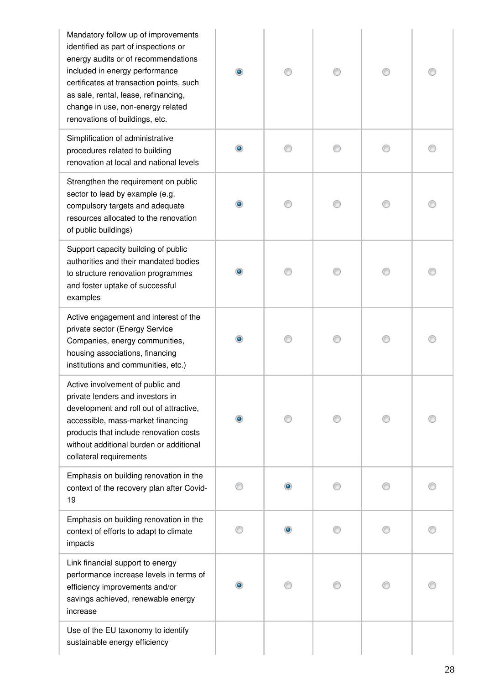| Mandatory follow up of improvements<br>identified as part of inspections or<br>energy audits or of recommendations<br>included in energy performance<br>certificates at transaction points, such<br>as sale, rental, lease, refinancing,<br>change in use, non-energy related<br>renovations of buildings, etc. | $\bullet$ |  |  |
|-----------------------------------------------------------------------------------------------------------------------------------------------------------------------------------------------------------------------------------------------------------------------------------------------------------------|-----------|--|--|
| Simplification of administrative<br>procedures related to building<br>renovation at local and national levels                                                                                                                                                                                                   |           |  |  |
| Strengthen the requirement on public<br>sector to lead by example (e.g.<br>compulsory targets and adequate<br>resources allocated to the renovation<br>of public buildings)                                                                                                                                     |           |  |  |
| Support capacity building of public<br>authorities and their mandated bodies<br>to structure renovation programmes<br>and foster uptake of successful<br>examples                                                                                                                                               | $\bullet$ |  |  |
| Active engagement and interest of the<br>private sector (Energy Service<br>Companies, energy communities,<br>housing associations, financing<br>institutions and communities, etc.)                                                                                                                             |           |  |  |
| Active involvement of public and<br>private lenders and investors in<br>development and roll out of attractive,<br>accessible, mass-market financing<br>products that include renovation costs<br>without additional burden or additional<br>collateral requirements                                            |           |  |  |
| Emphasis on building renovation in the<br>context of the recovery plan after Covid-<br>19                                                                                                                                                                                                                       |           |  |  |
| Emphasis on building renovation in the<br>context of efforts to adapt to climate<br>impacts                                                                                                                                                                                                                     |           |  |  |
| Link financial support to energy<br>performance increase levels in terms of<br>efficiency improvements and/or<br>savings achieved, renewable energy<br>increase                                                                                                                                                 |           |  |  |
| Use of the EU taxonomy to identify<br>sustainable energy efficiency                                                                                                                                                                                                                                             |           |  |  |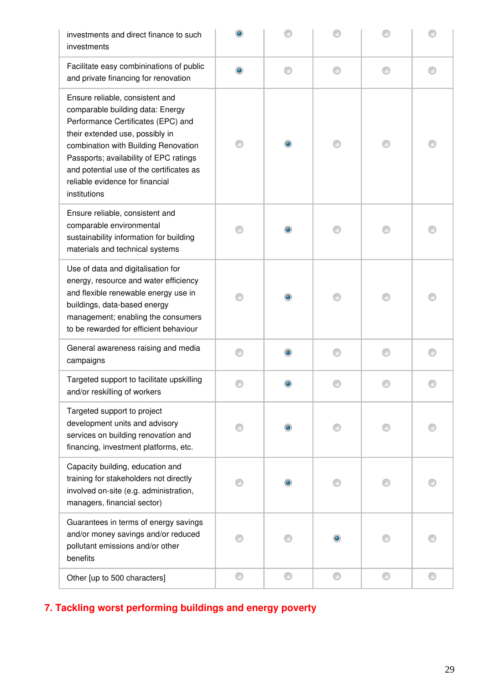| investments and direct finance to such<br>investments                                                                                                                                                                                                                                                                         |   |           |   |   |   |
|-------------------------------------------------------------------------------------------------------------------------------------------------------------------------------------------------------------------------------------------------------------------------------------------------------------------------------|---|-----------|---|---|---|
| Facilitate easy combininations of public<br>and private financing for renovation                                                                                                                                                                                                                                              | ۰ |           | ⋒ |   |   |
| Ensure reliable, consistent and<br>comparable building data: Energy<br>Performance Certificates (EPC) and<br>their extended use, possibly in<br>combination with Building Renovation<br>Passports; availability of EPC ratings<br>and potential use of the certificates as<br>reliable evidence for financial<br>institutions |   |           |   | O |   |
| Ensure reliable, consistent and<br>comparable environmental<br>sustainability information for building<br>materials and technical systems                                                                                                                                                                                     |   |           |   |   |   |
| Use of data and digitalisation for<br>energy, resource and water efficiency<br>and flexible renewable energy use in<br>buildings, data-based energy<br>management; enabling the consumers<br>to be rewarded for efficient behaviour                                                                                           |   |           |   |   |   |
| General awareness raising and media<br>campaigns                                                                                                                                                                                                                                                                              |   | $\bullet$ |   |   |   |
| Targeted support to facilitate upskilling<br>and/or reskilling of workers                                                                                                                                                                                                                                                     |   |           |   |   |   |
| Targeted support to project<br>development units and advisory<br>services on building renovation and<br>financing, investment platforms, etc.                                                                                                                                                                                 |   |           |   |   |   |
| Capacity building, education and<br>training for stakeholders not directly<br>involved on-site (e.g. administration,<br>managers, financial sector)                                                                                                                                                                           |   |           |   |   |   |
| Guarantees in terms of energy savings<br>and/or money savings and/or reduced<br>pollutant emissions and/or other<br>benefits                                                                                                                                                                                                  |   |           |   |   |   |
| Other [up to 500 characters]                                                                                                                                                                                                                                                                                                  | ⊙ | ⊙         | ⊙ | 0 | ⊙ |

# **7. Tackling worst performing buildings and energy poverty**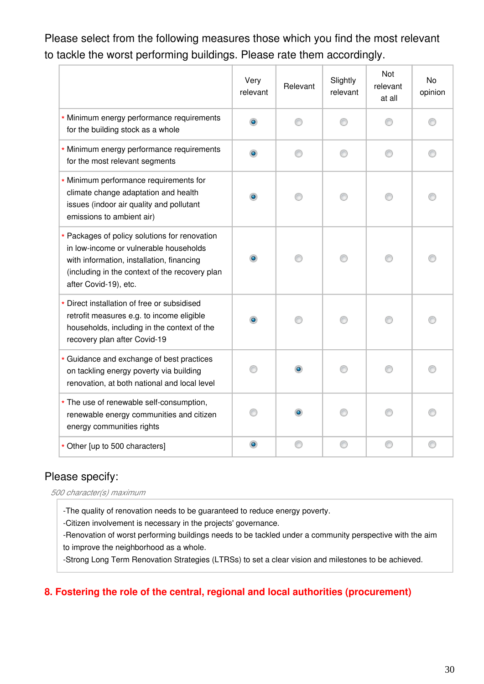# Please select from the following measures those which you find the most relevant to tackle the worst performing buildings. Please rate them accordingly.

|                                                                                                                                                                                                                 | Very<br>relevant | Relevant | Slightly<br>relevant | Not<br>relevant<br>at all | No<br>opinion |
|-----------------------------------------------------------------------------------------------------------------------------------------------------------------------------------------------------------------|------------------|----------|----------------------|---------------------------|---------------|
| * Minimum energy performance requirements<br>for the building stock as a whole                                                                                                                                  | ۰                | ⋒        | ⋒                    |                           |               |
| * Minimum energy performance requirements<br>for the most relevant segments                                                                                                                                     | ۰                | ⋒        | ⋒                    | ∩                         |               |
| * Minimum performance requirements for<br>climate change adaptation and health<br>issues (indoor air quality and pollutant<br>emissions to ambient air)                                                         | $\bullet$        |          |                      |                           |               |
| * Packages of policy solutions for renovation<br>in low-income or vulnerable households<br>with information, installation, financing<br>(including in the context of the recovery plan<br>after Covid-19), etc. | $\bullet$        |          |                      |                           |               |
| * Direct installation of free or subsidised<br>retrofit measures e.g. to income eligible<br>households, including in the context of the<br>recovery plan after Covid-19                                         | $\bullet$        |          |                      |                           |               |
| * Guidance and exchange of best practices<br>on tackling energy poverty via building<br>renovation, at both national and local level                                                                            |                  |          |                      |                           |               |
| * The use of renewable self-consumption,<br>renewable energy communities and citizen<br>energy communities rights                                                                                               |                  |          |                      |                           |               |
| * Other [up to 500 characters]                                                                                                                                                                                  | $\bullet$        | ⊙        | ∩                    | €                         |               |

### Please specify:

*500 character(s) maximum*

-The quality of renovation needs to be guaranteed to reduce energy poverty.

-Citizen involvement is necessary in the projects' governance.

-Renovation of worst performing buildings needs to be tackled under a community perspective with the aim to improve the neighborhood as a whole.

-Strong Long Term Renovation Strategies (LTRSs) to set a clear vision and milestones to be achieved.

#### **8. Fostering the role of the central, regional and local authorities (procurement)**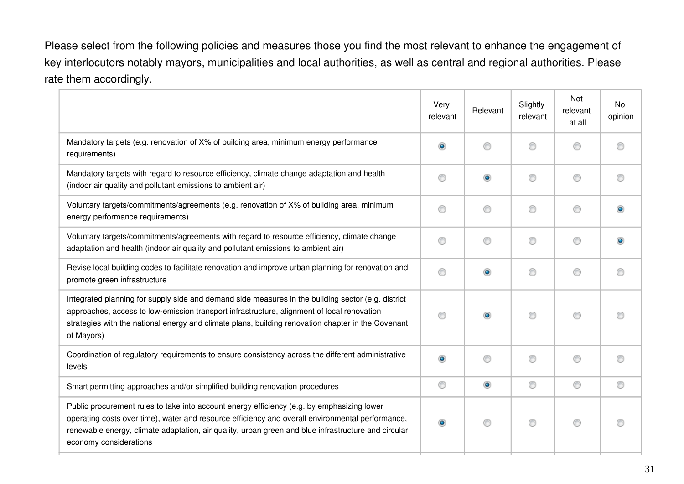Please select from the following policies and measures those you find the most relevant to enhance the engagement of key interlocutors notably mayors, municipalities and local authorities, as well as central and regional authorities. Please rate them accordingly.

|                                                                                                                                                                                                                                                                                                                                 | Very<br>relevant | Relevant  | Slightly<br>relevant | Not<br>relevant<br>at all | <b>No</b><br>opinion |
|---------------------------------------------------------------------------------------------------------------------------------------------------------------------------------------------------------------------------------------------------------------------------------------------------------------------------------|------------------|-----------|----------------------|---------------------------|----------------------|
| Mandatory targets (e.g. renovation of X% of building area, minimum energy performance<br>requirements)                                                                                                                                                                                                                          | $\bullet$        | €         | ∩                    | ⊙                         |                      |
| Mandatory targets with regard to resource efficiency, climate change adaptation and health<br>(indoor air quality and pollutant emissions to ambient air)                                                                                                                                                                       | ⊙                | ۵         | ∩                    | ◎                         |                      |
| Voluntary targets/commitments/agreements (e.g. renovation of X% of building area, minimum<br>energy performance requirements)                                                                                                                                                                                                   | ⊙                | ⋒         | ∩                    | ⊙                         |                      |
| Voluntary targets/commitments/agreements with regard to resource efficiency, climate change<br>adaptation and health (indoor air quality and pollutant emissions to ambient air)                                                                                                                                                | ⋒                | ∩         | ∩                    | ⊙                         |                      |
| Revise local building codes to facilitate renovation and improve urban planning for renovation and<br>promote green infrastructure                                                                                                                                                                                              | 0                | ۰         | ⊙                    | ◎                         |                      |
| Integrated planning for supply side and demand side measures in the building sector (e.g. district<br>approaches, access to low-emission transport infrastructure, alignment of local renovation<br>strategies with the national energy and climate plans, building renovation chapter in the Covenant<br>of Mayors)            | ⊙                | $\bullet$ | ⋒                    | ⊙                         |                      |
| Coordination of regulatory requirements to ensure consistency across the different administrative<br>levels                                                                                                                                                                                                                     | $\bullet$        | ⋒         | ∩                    | ⊙                         |                      |
| Smart permitting approaches and/or simplified building renovation procedures                                                                                                                                                                                                                                                    | 0                | $\bullet$ | ⊙                    | ⊙                         | ⊙                    |
| Public procurement rules to take into account energy efficiency (e.g. by emphasizing lower<br>operating costs over time), water and resource efficiency and overall environmental performance,<br>renewable energy, climate adaptation, air quality, urban green and blue infrastructure and circular<br>economy considerations | $\circledcirc$   | ⋒         | ∩                    | ⊙                         |                      |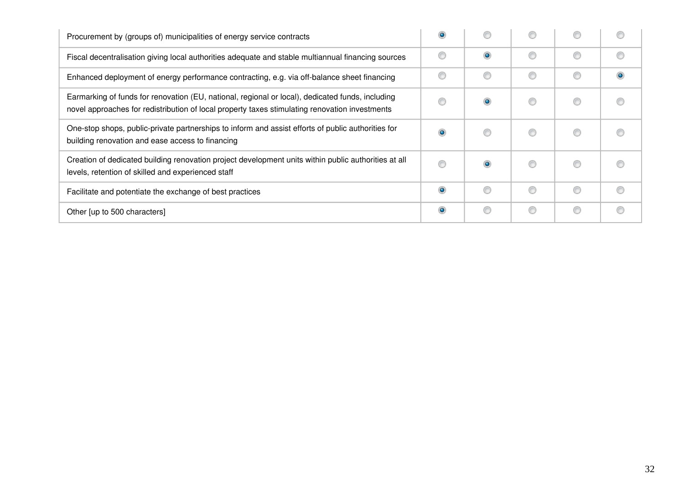| Procurement by (groups of) municipalities of energy service contracts                                                                                                                              |           |           |   |   |  |
|----------------------------------------------------------------------------------------------------------------------------------------------------------------------------------------------------|-----------|-----------|---|---|--|
| Fiscal decentralisation giving local authorities adequate and stable multiannual financing sources                                                                                                 |           | $\bullet$ | € | ∩ |  |
| Enhanced deployment of energy performance contracting, e.g. via off-balance sheet financing                                                                                                        |           |           | C | ◎ |  |
| Earmarking of funds for renovation (EU, national, regional or local), dedicated funds, including<br>novel approaches for redistribution of local property taxes stimulating renovation investments |           |           | O |   |  |
| One-stop shops, public-private partnerships to inform and assist efforts of public authorities for<br>building renovation and ease access to financing                                             | $\bullet$ |           | € |   |  |
| Creation of dedicated building renovation project development units within public authorities at all<br>levels, retention of skilled and experienced staff                                         |           |           | C |   |  |
| Facilitate and potentiate the exchange of best practices                                                                                                                                           | $\bullet$ |           | ⋒ | ⊙ |  |
| Other [up to 500 characters]                                                                                                                                                                       | $\bullet$ |           | C | ⊙ |  |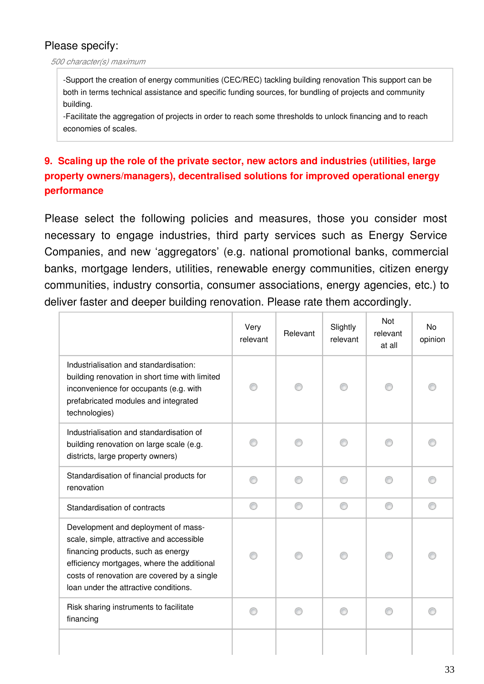#### *500 character(s) maximum*

-Support the creation of energy communities (CEC/REC) tackling building renovation This support can be both in terms technical assistance and specific funding sources, for bundling of projects and community building.

-Facilitate the aggregation of projects in order to reach some thresholds to unlock financing and to reach economies of scales.

# **9. Scaling up the role of the private sector, new actors and industries (utilities, large property owners/managers), decentralised solutions for improved operational energy performance**

Please select the following policies and measures, those you consider most necessary to engage industries, third party services such as Energy Service Companies, and new 'aggregators' (e.g. national promotional banks, commercial banks, mortgage lenders, utilities, renewable energy communities, citizen energy communities, industry consortia, consumer associations, energy agencies, etc.) to deliver faster and deeper building renovation. Please rate them accordingly.

|                                                                                                                                                                                                                                                             | Very<br>relevant | Relevant | Slightly<br>relevant | Not<br>relevant<br>at all | No<br>opinion |
|-------------------------------------------------------------------------------------------------------------------------------------------------------------------------------------------------------------------------------------------------------------|------------------|----------|----------------------|---------------------------|---------------|
| Industrialisation and standardisation:<br>building renovation in short time with limited<br>inconvenience for occupants (e.g. with<br>prefabricated modules and integrated<br>technologies)                                                                 |                  |          |                      |                           |               |
| Industrialisation and standardisation of<br>building renovation on large scale (e.g.<br>districts, large property owners)                                                                                                                                   |                  |          |                      |                           |               |
| Standardisation of financial products for<br>renovation                                                                                                                                                                                                     |                  |          |                      |                           |               |
| Standardisation of contracts                                                                                                                                                                                                                                | ⊙                | ∩        | ∩                    | ∩                         | ⋒             |
| Development and deployment of mass-<br>scale, simple, attractive and accessible<br>financing products, such as energy<br>efficiency mortgages, where the additional<br>costs of renovation are covered by a single<br>loan under the attractive conditions. |                  |          |                      |                           |               |
| Risk sharing instruments to facilitate<br>financing                                                                                                                                                                                                         |                  |          |                      |                           |               |
|                                                                                                                                                                                                                                                             |                  |          |                      |                           |               |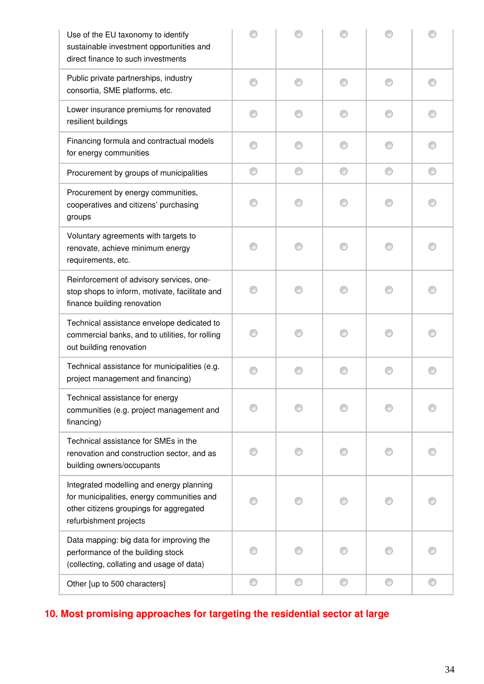| Use of the EU taxonomy to identify<br>sustainable investment opportunities and<br>direct finance to such investments                                        |   |   |   |   |  |
|-------------------------------------------------------------------------------------------------------------------------------------------------------------|---|---|---|---|--|
| Public private partnerships, industry<br>consortia, SME platforms, etc.                                                                                     |   | ∩ | ∩ | ⋒ |  |
| Lower insurance premiums for renovated<br>resilient buildings                                                                                               |   |   | ∩ |   |  |
| Financing formula and contractual models<br>for energy communities                                                                                          |   |   |   |   |  |
| Procurement by groups of municipalities                                                                                                                     | ⊙ | ⊙ | ⊙ | ⊙ |  |
| Procurement by energy communities,<br>cooperatives and citizens' purchasing<br>groups                                                                       |   |   | ∩ |   |  |
| Voluntary agreements with targets to<br>renovate, achieve minimum energy<br>requirements, etc.                                                              |   |   | M |   |  |
| Reinforcement of advisory services, one-<br>stop shops to inform, motivate, facilitate and<br>finance building renovation                                   |   |   | M |   |  |
| Technical assistance envelope dedicated to<br>commercial banks, and to utilities, for rolling<br>out building renovation                                    |   |   |   |   |  |
| Technical assistance for municipalities (e.g.<br>project management and financing)                                                                          |   |   | ∩ | ⋒ |  |
| Technical assistance for energy<br>communities (e.g. project management and<br>financing)                                                                   |   |   |   |   |  |
| Technical assistance for SMEs in the<br>renovation and construction sector, and as<br>building owners/occupants                                             |   |   |   |   |  |
| Integrated modelling and energy planning<br>for municipalities, energy communities and<br>other citizens groupings for aggregated<br>refurbishment projects |   |   |   |   |  |
| Data mapping: big data for improving the<br>performance of the building stock<br>(collecting, collating and usage of data)                                  |   |   |   |   |  |
| Other [up to 500 characters]                                                                                                                                | ⊙ | ⊙ | ⊙ | ⊙ |  |

# **10. Most promising approaches for targeting the residential sector at large**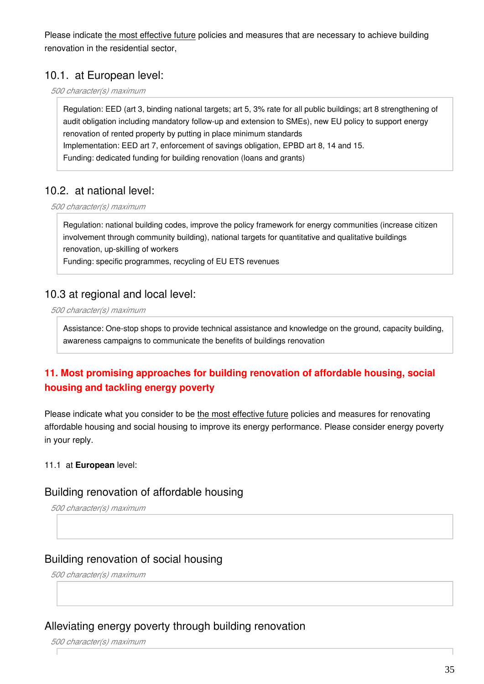Please indicate the most effective future policies and measures that are necessary to achieve building renovation in the residential sector,

### 10.1. at European level:

*500 character(s) maximum*

Regulation: EED (art 3, binding national targets; art 5, 3% rate for all public buildings; art 8 strengthening of audit obligation including mandatory follow-up and extension to SMEs), new EU policy to support energy renovation of rented property by putting in place minimum standards Implementation: EED art 7, enforcement of savings obligation, EPBD art 8, 14 and 15. Funding: dedicated funding for building renovation (loans and grants)

### 10.2. at national level:

*500 character(s) maximum*

Regulation: national building codes, improve the policy framework for energy communities (increase citizen involvement through community building), national targets for quantitative and qualitative buildings renovation, up-skilling of workers

Funding: specific programmes, recycling of EU ETS revenues

### 10.3 at regional and local level:

*500 character(s) maximum*

Assistance: One-stop shops to provide technical assistance and knowledge on the ground, capacity building, awareness campaigns to communicate the benefits of buildings renovation

### **11. Most promising approaches for building renovation of affordable housing, social housing and tackling energy poverty**

Please indicate what you consider to be the most effective future policies and measures for renovating affordable housing and social housing to improve its energy performance. Please consider energy poverty in your reply.

#### 11.1 at **European** level:

#### Building renovation of affordable housing

*500 character(s) maximum*

#### Building renovation of social housing

*500 character(s) maximum*

#### Alleviating energy poverty through building renovation

*500 character(s) maximum*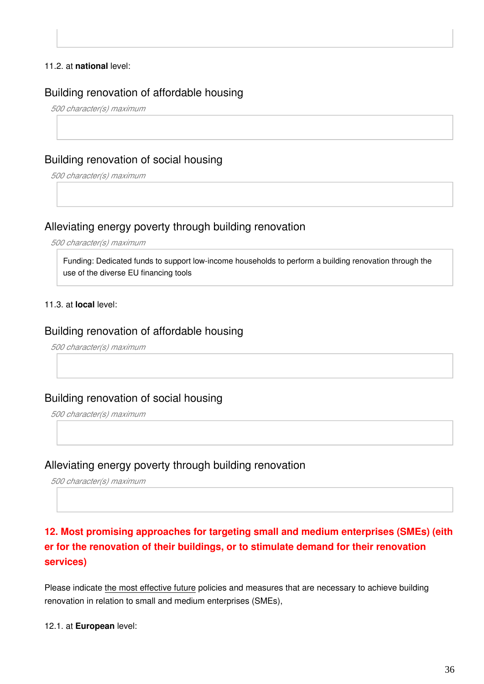#### 11.2. at **national** level:

#### Building renovation of affordable housing

*500 character(s) maximum*

#### Building renovation of social housing

*500 character(s) maximum*

#### Alleviating energy poverty through building renovation

*500 character(s) maximum*

Funding: Dedicated funds to support low-income households to perform a building renovation through the use of the diverse EU financing tools

#### 11.3. at **local** level:

#### Building renovation of affordable housing

*500 character(s) maximum*

#### Building renovation of social housing

*500 character(s) maximum*

#### Alleviating energy poverty through building renovation

*500 character(s) maximum*

# **12. Most promising approaches for targeting small and medium enterprises (SMEs) (eith er for the renovation of their buildings, or to stimulate demand for their renovation services)**

Please indicate the most effective future policies and measures that are necessary to achieve building renovation in relation to small and medium enterprises (SMEs),

12.1. at **European** level: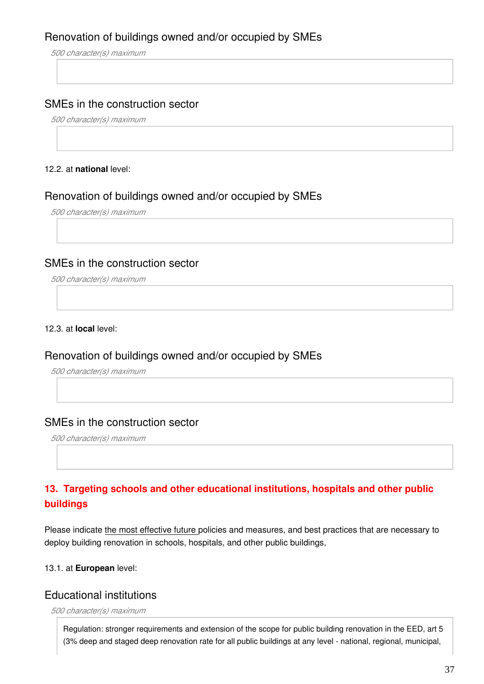### Renovation of buildings owned and/or occupied by SMEs

*500 character(s) maximum*

#### SMEs in the construction sector

*500 character(s) maximum*

#### 12.2. at **national** level:

#### Renovation of buildings owned and/or occupied by SMEs

*500 character(s) maximum*

#### SMEs in the construction sector

*500 character(s) maximum*

12.3. at **local** level:

#### Renovation of buildings owned and/or occupied by SMEs

*500 character(s) maximum*

#### SMEs in the construction sector

*500 character(s) maximum*

### **13. Targeting schools and other educational institutions, hospitals and other public buildings**

Please indicate the most effective future policies and measures, and best practices that are necessary to deploy building renovation in schools, hospitals, and other public buildings,

#### 13.1. at **European** level:

#### Educational institutions

*500 character(s) maximum*

Regulation: stronger requirements and extension of the scope for public building renovation in the EED, art 5 (3% deep and staged deep renovation rate for all public buildings at any level - national, regional, municipal,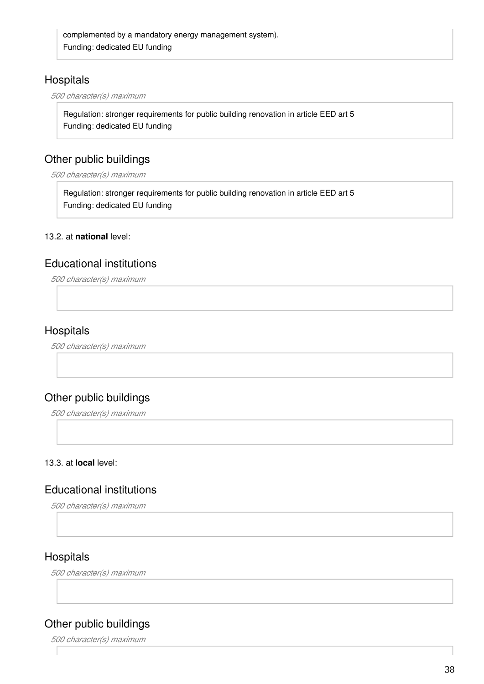### **Hospitals**

*500 character(s) maximum*

Regulation: stronger requirements for public building renovation in article EED art 5 Funding: dedicated EU funding

### Other public buildings

*500 character(s) maximum*

Regulation: stronger requirements for public building renovation in article EED art 5 Funding: dedicated EU funding

#### 13.2. at **national** level:

#### Educational institutions

*500 character(s) maximum*

### **Hospitals**

*500 character(s) maximum*

### Other public buildings

*500 character(s) maximum*

#### 13.3. at **local** level:

#### Educational institutions

*500 character(s) maximum*

### **Hospitals**

*500 character(s) maximum*

### Other public buildings

*500 character(s) maximum*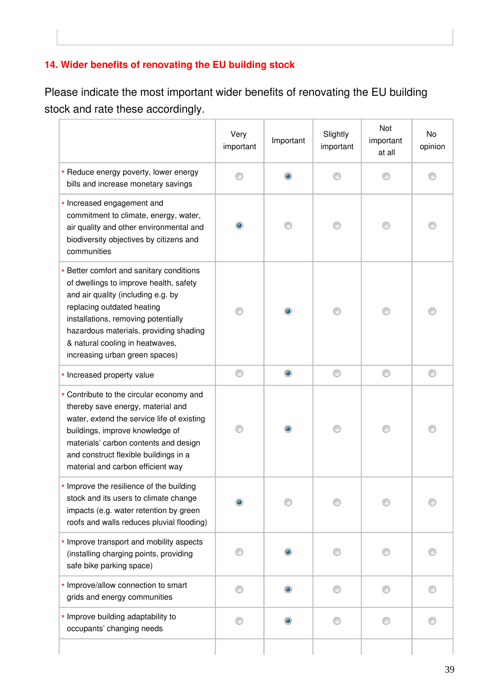# **14. Wider benefits of renovating the EU building stock**

Please indicate the most important wider benefits of renovating the EU building stock and rate these accordingly.

|                                                                                                                                                                                                                                                                                                              | Very<br>important | Important | Slightly<br>important | Not<br>important<br>at all | No<br>opinion |
|--------------------------------------------------------------------------------------------------------------------------------------------------------------------------------------------------------------------------------------------------------------------------------------------------------------|-------------------|-----------|-----------------------|----------------------------|---------------|
| * Reduce energy poverty, lower energy<br>bills and increase monetary savings                                                                                                                                                                                                                                 |                   |           |                       |                            |               |
| * Increased engagement and<br>commitment to climate, energy, water,<br>air quality and other environmental and<br>biodiversity objectives by citizens and<br>communities                                                                                                                                     | $\bullet$         |           |                       |                            |               |
| * Better comfort and sanitary conditions<br>of dwellings to improve health, safety<br>and air quality (including e.g. by<br>replacing outdated heating<br>installations, removing potentially<br>hazardous materials, providing shading<br>& natural cooling in heatwaves,<br>increasing urban green spaces) |                   |           |                       |                            |               |
| * Increased property value                                                                                                                                                                                                                                                                                   | ⊙                 | $\bullet$ | ⊙                     | ⊙                          |               |
| * Contribute to the circular economy and<br>thereby save energy, material and<br>water, extend the service life of existing<br>buildings, improve knowledge of<br>materials' carbon contents and design<br>and construct flexible buildings in a<br>material and carbon efficient way                        |                   |           |                       |                            |               |
| * Improve the resilience of the building<br>stock and its users to climate change<br>impacts (e.g. water retention by green<br>roofs and walls reduces pluvial flooding)                                                                                                                                     |                   |           |                       |                            |               |
| * Improve transport and mobility aspects<br>(installing charging points, providing<br>safe bike parking space)                                                                                                                                                                                               |                   |           |                       |                            |               |
| * Improve/allow connection to smart<br>grids and energy communities                                                                                                                                                                                                                                          |                   | ۰         |                       |                            |               |
| * Improve building adaptability to<br>occupants' changing needs                                                                                                                                                                                                                                              |                   |           |                       |                            |               |
|                                                                                                                                                                                                                                                                                                              |                   |           |                       |                            |               |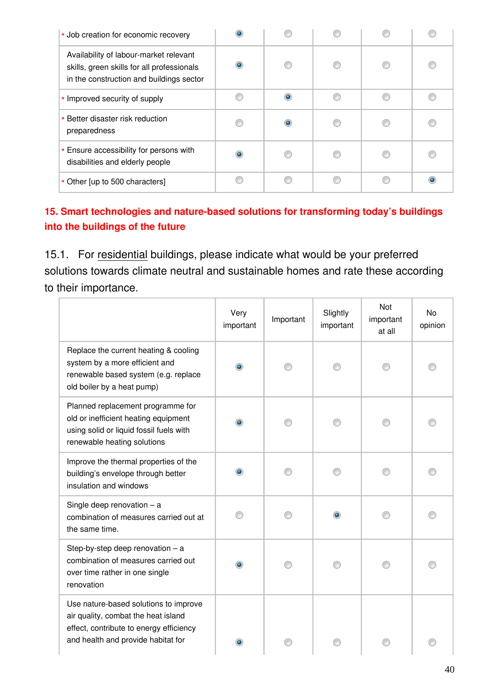| * Job creation for economic recovery                                                                                             |           |   |  |
|----------------------------------------------------------------------------------------------------------------------------------|-----------|---|--|
| Availability of labour-market relevant<br>skills, green skills for all professionals<br>in the construction and buildings sector | $\bullet$ |   |  |
| * Improved security of supply                                                                                                    |           | œ |  |
| * Better disaster risk reduction<br>preparedness                                                                                 |           |   |  |
| * Ensure accessibility for persons with<br>disabilities and elderly people                                                       | $\bullet$ |   |  |
| * Other [up to 500 characters]                                                                                                   |           |   |  |

# **15. Smart technologies and nature-based solutions for transforming today's buildings into the buildings of the future**

15.1. For residential buildings, please indicate what would be your preferred solutions towards climate neutral and sustainable homes and rate these according to their importance.

|                                                                                                                                                               | Very<br>important | Important | Slightly<br>important | Not<br>important<br>at all | No<br>opinion |
|---------------------------------------------------------------------------------------------------------------------------------------------------------------|-------------------|-----------|-----------------------|----------------------------|---------------|
| Replace the current heating & cooling<br>system by a more efficient and<br>renewable based system (e.g. replace<br>old boiler by a heat pump)                 | ۰                 |           |                       |                            |               |
| Planned replacement programme for<br>old or inefficient heating equipment<br>using solid or liquid fossil fuels with<br>renewable heating solutions           | $\bullet$         |           |                       |                            |               |
| Improve the thermal properties of the<br>building's envelope through better<br>insulation and windows                                                         | ۰                 |           |                       |                            |               |
| Single deep renovation $-$ a<br>combination of measures carried out at<br>the same time.                                                                      |                   |           | ۰                     |                            |               |
| Step-by-step deep renovation $-$ a<br>combination of measures carried out<br>over time rather in one single<br>renovation                                     | $\bullet$         |           |                       |                            |               |
| Use nature-based solutions to improve<br>air quality, combat the heat island<br>effect, contribute to energy efficiency<br>and health and provide habitat for |                   |           |                       |                            |               |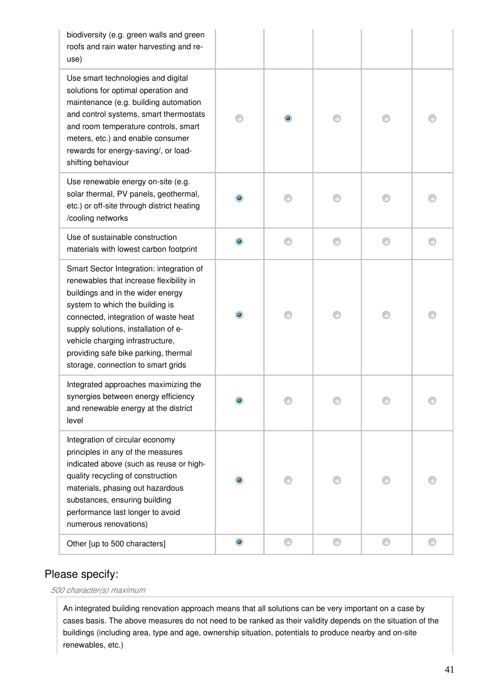| biodiversity (e.g. green walls and green<br>roofs and rain water harvesting and re-<br>use)                                                                                                                                                                                                                                                                   |            |           |   |   |  |
|---------------------------------------------------------------------------------------------------------------------------------------------------------------------------------------------------------------------------------------------------------------------------------------------------------------------------------------------------------------|------------|-----------|---|---|--|
| Use smart technologies and digital<br>solutions for optimal operation and<br>maintenance (e.g. building automation<br>and control systems, smart thermostats<br>and room temperature controls, smart<br>meters, etc.) and enable consumer<br>rewards for energy-saving/, or load-<br>shifting behaviour                                                       |            | $\bullet$ |   |   |  |
| Use renewable energy on-site (e.g.<br>solar thermal, PV panels, geothermal,<br>etc.) or off-site through district heating<br>/cooling networks                                                                                                                                                                                                                | ۰          |           |   |   |  |
| Use of sustainable construction<br>materials with lowest carbon footprint                                                                                                                                                                                                                                                                                     | ۰          |           | ∩ | ⋒ |  |
| Smart Sector Integration: integration of<br>renewables that increase flexibility in<br>buildings and in the wider energy<br>system to which the building is<br>connected, integration of waste heat<br>supply solutions, installation of e-<br>vehicle charging infrastructure,<br>providing safe bike parking, thermal<br>storage, connection to smart grids | $\bullet$  |           |   |   |  |
| Integrated approaches maximizing the<br>synergies between energy efficiency<br>and renewable energy at the district<br>level                                                                                                                                                                                                                                  |            |           |   |   |  |
| Integration of circular economy<br>principles in any of the measures<br>indicated above (such as reuse or high-<br>quality recycling of construction<br>materials, phasing out hazardous<br>substances, ensuring building<br>performance last longer to avoid<br>numerous renovations)                                                                        |            |           |   |   |  |
| Other [up to 500 characters]                                                                                                                                                                                                                                                                                                                                  | $_{\odot}$ |           | ⊙ | ∩ |  |

*500 character(s) maximum*

An integrated building renovation approach means that all solutions can be very important on a case by cases basis. The above measures do not need to be ranked as their validity depends on the situation of the buildings (including area, type and age, ownership situation, potentials to produce nearby and on-site renewables, etc.)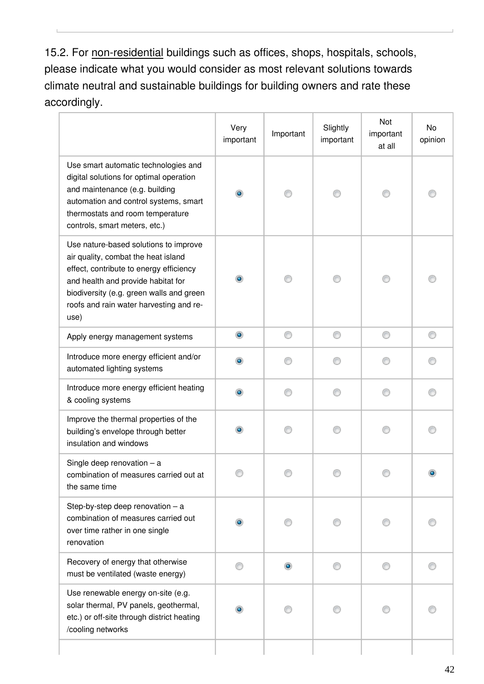15.2. For non-residential buildings such as offices, shops, hospitals, schools, please indicate what you would consider as most relevant solutions towards climate neutral and sustainable buildings for building owners and rate these accordingly.

|                                                                                                                                                                                                                                                              | Very<br>important | Important | Slightly<br>important | Not<br>important<br>at all | No<br>opinion |
|--------------------------------------------------------------------------------------------------------------------------------------------------------------------------------------------------------------------------------------------------------------|-------------------|-----------|-----------------------|----------------------------|---------------|
| Use smart automatic technologies and<br>digital solutions for optimal operation<br>and maintenance (e.g. building<br>automation and control systems, smart<br>thermostats and room temperature<br>controls, smart meters, etc.)                              | $\bullet$         |           | 0                     | ⊙                          |               |
| Use nature-based solutions to improve<br>air quality, combat the heat island<br>effect, contribute to energy efficiency<br>and health and provide habitat for<br>biodiversity (e.g. green walls and green<br>roofs and rain water harvesting and re-<br>use) | $\bullet$         |           | ⋒                     |                            |               |
| Apply energy management systems                                                                                                                                                                                                                              | $\circledcirc$    | ⊙         | ⊙                     | ⊙                          | ⋒             |
| Introduce more energy efficient and/or<br>automated lighting systems                                                                                                                                                                                         | $\bullet$         |           |                       |                            |               |
| Introduce more energy efficient heating<br>& cooling systems                                                                                                                                                                                                 | ۰                 |           |                       |                            |               |
| Improve the thermal properties of the<br>building's envelope through better<br>insulation and windows                                                                                                                                                        | $\bullet$         |           | ⋒                     | ∩                          |               |
| Single deep renovation $-$ a<br>combination of measures carried out at<br>the same time                                                                                                                                                                      |                   |           |                       |                            |               |
| Step-by-step deep renovation $-$ a<br>combination of measures carried out<br>over time rather in one single<br>renovation                                                                                                                                    |                   |           |                       |                            |               |
| Recovery of energy that otherwise<br>must be ventilated (waste energy)                                                                                                                                                                                       |                   | $\bullet$ |                       |                            |               |
| Use renewable energy on-site (e.g.<br>solar thermal, PV panels, geothermal,<br>etc.) or off-site through district heating<br>/cooling networks                                                                                                               |                   |           |                       |                            |               |
|                                                                                                                                                                                                                                                              |                   |           |                       |                            |               |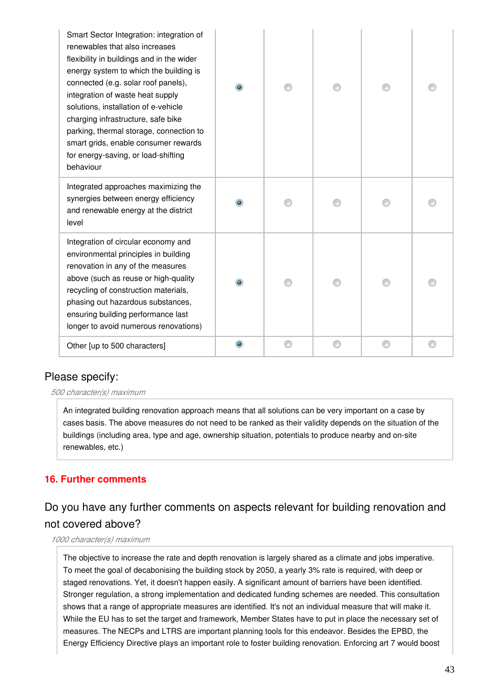| Smart Sector Integration: integration of<br>renewables that also increases<br>flexibility in buildings and in the wider<br>energy system to which the building is<br>connected (e.g. solar roof panels),<br>integration of waste heat supply<br>solutions, installation of e-vehicle<br>charging infrastructure, safe bike<br>parking, thermal storage, connection to<br>smart grids, enable consumer rewards<br>for energy-saving, or load-shifting<br>behaviour |  |  |  |
|-------------------------------------------------------------------------------------------------------------------------------------------------------------------------------------------------------------------------------------------------------------------------------------------------------------------------------------------------------------------------------------------------------------------------------------------------------------------|--|--|--|
| Integrated approaches maximizing the<br>synergies between energy efficiency<br>and renewable energy at the district<br>level                                                                                                                                                                                                                                                                                                                                      |  |  |  |
| Integration of circular economy and<br>environmental principles in building<br>renovation in any of the measures<br>above (such as reuse or high-quality<br>recycling of construction materials,<br>phasing out hazardous substances,<br>ensuring building performance last<br>longer to avoid numerous renovations)                                                                                                                                              |  |  |  |
| Other [up to 500 characters]                                                                                                                                                                                                                                                                                                                                                                                                                                      |  |  |  |

#### *500 character(s) maximum*

An integrated building renovation approach means that all solutions can be very important on a case by cases basis. The above measures do not need to be ranked as their validity depends on the situation of the buildings (including area, type and age, ownership situation, potentials to produce nearby and on-site renewables, etc.)

#### **16. Further comments**

# Do you have any further comments on aspects relevant for building renovation and not covered above?

#### *1000 character(s) maximum*

The objective to increase the rate and depth renovation is largely shared as a climate and jobs imperative. To meet the goal of decabonising the building stock by 2050, a yearly 3% rate is required, with deep or staged renovations. Yet, it doesn't happen easily. A significant amount of barriers have been identified. Stronger regulation, a strong implementation and dedicated funding schemes are needed. This consultation shows that a range of appropriate measures are identified. It's not an individual measure that will make it. While the EU has to set the target and framework, Member States have to put in place the necessary set of measures. The NECPs and LTRS are important planning tools for this endeavor. Besides the EPBD, the Energy Efficiency Directive plays an important role to foster building renovation. Enforcing art 7 would boost